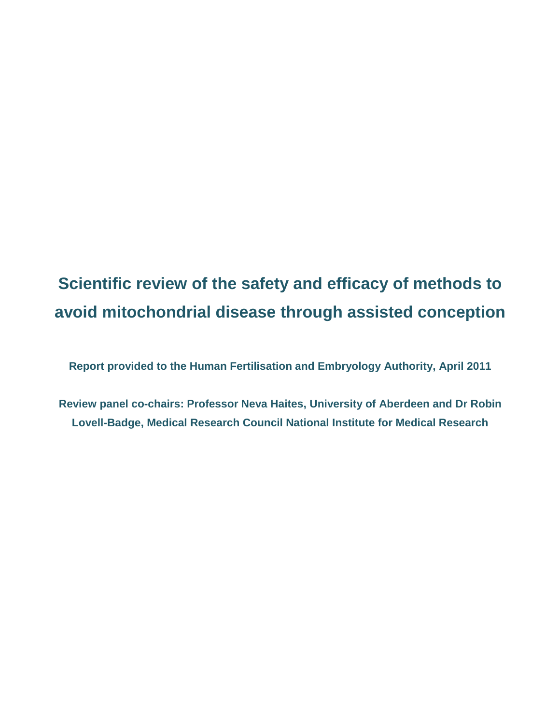# **Scientific review of the safety and efficacy of methods to avoid mitochondrial disease through assisted conception**

**Report provided to the Human Fertilisation and Embryology Authority, April 2011**

**Review panel co-chairs: Professor Neva Haites, University of Aberdeen and Dr Robin Lovell-Badge, Medical Research Council National Institute for Medical Research**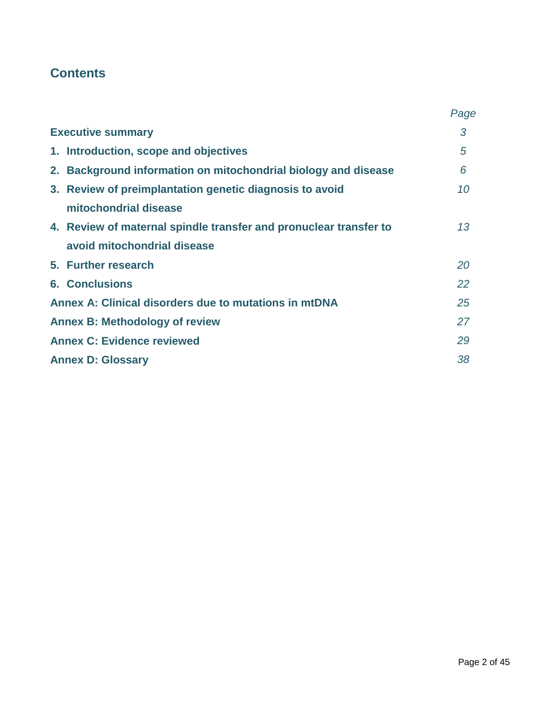# **Contents**

|                                                                   | Page |
|-------------------------------------------------------------------|------|
| <b>Executive summary</b>                                          | 3    |
| 1. Introduction, scope and objectives                             | 5    |
| 2. Background information on mitochondrial biology and disease    | 6    |
| 3. Review of preimplantation genetic diagnosis to avoid           | 10   |
| mitochondrial disease                                             |      |
| 4. Review of maternal spindle transfer and pronuclear transfer to | 13   |
| avoid mitochondrial disease                                       |      |
| 5. Further research                                               | 20   |
| <b>6. Conclusions</b>                                             | 22   |
| Annex A: Clinical disorders due to mutations in mtDNA             | 25   |
| <b>Annex B: Methodology of review</b>                             | 27   |
| <b>Annex C: Evidence reviewed</b>                                 | 29   |
| <b>Annex D: Glossary</b>                                          | 38   |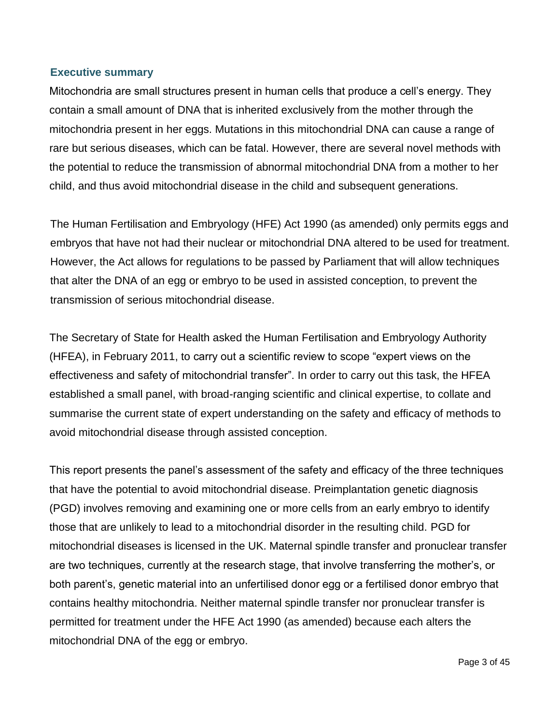#### **Executive summary**

Mitochondria are small structures present in human cells that produce a cell"s energy. They contain a small amount of DNA that is inherited exclusively from the mother through the mitochondria present in her eggs. Mutations in this mitochondrial DNA can cause a range of rare but serious diseases, which can be fatal. However, there are several novel methods with the potential to reduce the transmission of abnormal mitochondrial DNA from a mother to her child, and thus avoid mitochondrial disease in the child and subsequent generations.

The Human Fertilisation and Embryology (HFE) Act 1990 (as amended) only permits eggs and embryos that have not had their nuclear or mitochondrial DNA altered to be used for treatment. However, the Act allows for regulations to be passed by Parliament that will allow techniques that alter the DNA of an egg or embryo to be used in assisted conception, to prevent the transmission of serious mitochondrial disease.

The Secretary of State for Health asked the Human Fertilisation and Embryology Authority (HFEA), in February 2011, to carry out a scientific review to scope "expert views on the effectiveness and safety of mitochondrial transfer". In order to carry out this task, the HFEA established a small panel, with broad-ranging scientific and clinical expertise, to collate and summarise the current state of expert understanding on the safety and efficacy of methods to avoid mitochondrial disease through assisted conception.

This report presents the panel"s assessment of the safety and efficacy of the three techniques that have the potential to avoid mitochondrial disease. Preimplantation genetic diagnosis (PGD) involves removing and examining one or more cells from an early embryo to identify those that are unlikely to lead to a mitochondrial disorder in the resulting child. PGD for mitochondrial diseases is licensed in the UK. Maternal spindle transfer and pronuclear transfer are two techniques, currently at the research stage, that involve transferring the mother"s, or both parent"s, genetic material into an unfertilised donor egg or a fertilised donor embryo that contains healthy mitochondria. Neither maternal spindle transfer nor pronuclear transfer is permitted for treatment under the HFE Act 1990 (as amended) because each alters the mitochondrial DNA of the egg or embryo.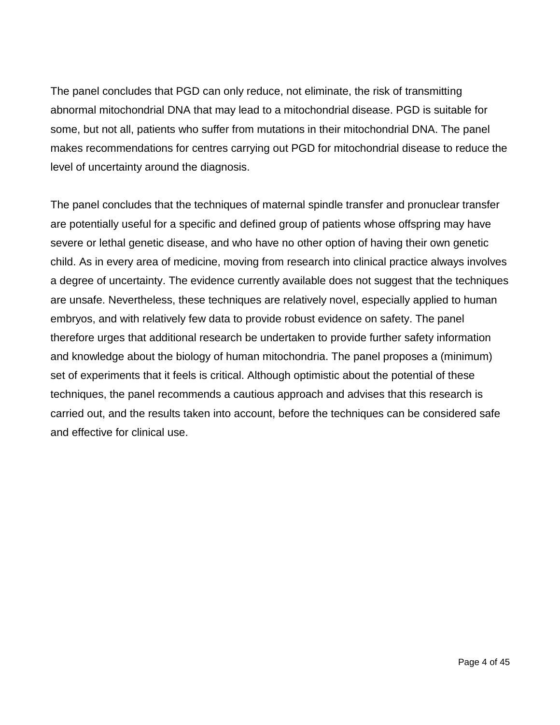The panel concludes that PGD can only reduce, not eliminate, the risk of transmitting abnormal mitochondrial DNA that may lead to a mitochondrial disease. PGD is suitable for some, but not all, patients who suffer from mutations in their mitochondrial DNA. The panel makes recommendations for centres carrying out PGD for mitochondrial disease to reduce the level of uncertainty around the diagnosis.

The panel concludes that the techniques of maternal spindle transfer and pronuclear transfer are potentially useful for a specific and defined group of patients whose offspring may have severe or lethal genetic disease, and who have no other option of having their own genetic child. As in every area of medicine, moving from research into clinical practice always involves a degree of uncertainty. The evidence currently available does not suggest that the techniques are unsafe. Nevertheless, these techniques are relatively novel, especially applied to human embryos, and with relatively few data to provide robust evidence on safety. The panel therefore urges that additional research be undertaken to provide further safety information and knowledge about the biology of human mitochondria. The panel proposes a (minimum) set of experiments that it feels is critical. Although optimistic about the potential of these techniques, the panel recommends a cautious approach and advises that this research is carried out, and the results taken into account, before the techniques can be considered safe and effective for clinical use.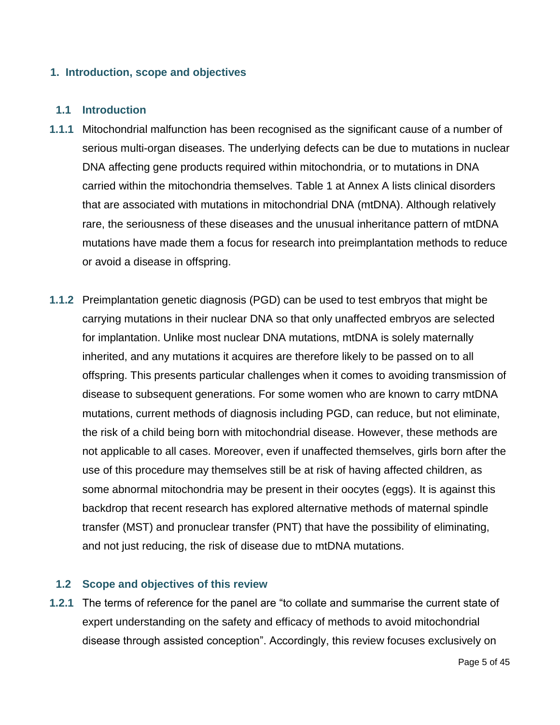#### **1. Introduction, scope and objectives**

#### **1.1 Introduction**

- **1.1.1** Mitochondrial malfunction has been recognised as the significant cause of a number of serious multi-organ diseases. The underlying defects can be due to mutations in nuclear DNA affecting gene products required within mitochondria, or to mutations in DNA carried within the mitochondria themselves. Table 1 at Annex A lists clinical disorders that are associated with mutations in mitochondrial DNA (mtDNA). Although relatively rare, the seriousness of these diseases and the unusual inheritance pattern of mtDNA mutations have made them a focus for research into preimplantation methods to reduce or avoid a disease in offspring.
- **1.1.2** Preimplantation genetic diagnosis (PGD) can be used to test embryos that might be carrying mutations in their nuclear DNA so that only unaffected embryos are selected for implantation. Unlike most nuclear DNA mutations, mtDNA is solely maternally inherited, and any mutations it acquires are therefore likely to be passed on to all offspring. This presents particular challenges when it comes to avoiding transmission of disease to subsequent generations. For some women who are known to carry mtDNA mutations, current methods of diagnosis including PGD, can reduce, but not eliminate, the risk of a child being born with mitochondrial disease. However, these methods are not applicable to all cases. Moreover, even if unaffected themselves, girls born after the use of this procedure may themselves still be at risk of having affected children, as some abnormal mitochondria may be present in their oocytes (eggs). It is against this backdrop that recent research has explored alternative methods of maternal spindle transfer (MST) and pronuclear transfer (PNT) that have the possibility of eliminating, and not just reducing, the risk of disease due to mtDNA mutations.

#### **1.2 Scope and objectives of this review**

**1.2.1** The terms of reference for the panel are "to collate and summarise the current state of expert understanding on the safety and efficacy of methods to avoid mitochondrial disease through assisted conception". Accordingly, this review focuses exclusively on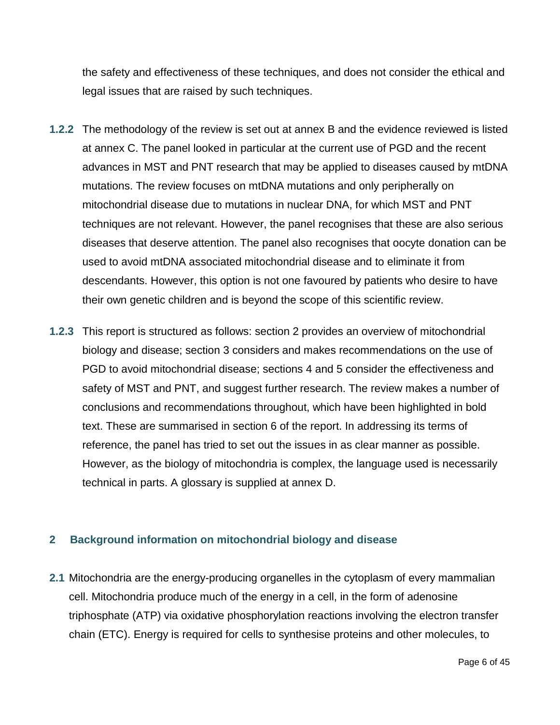the safety and effectiveness of these techniques, and does not consider the ethical and legal issues that are raised by such techniques.

- **1.2.2** The methodology of the review is set out at annex B and the evidence reviewed is listed at annex C. The panel looked in particular at the current use of PGD and the recent advances in MST and PNT research that may be applied to diseases caused by mtDNA mutations. The review focuses on mtDNA mutations and only peripherally on mitochondrial disease due to mutations in nuclear DNA, for which MST and PNT techniques are not relevant. However, the panel recognises that these are also serious diseases that deserve attention. The panel also recognises that oocyte donation can be used to avoid mtDNA associated mitochondrial disease and to eliminate it from descendants. However, this option is not one favoured by patients who desire to have their own genetic children and is beyond the scope of this scientific review.
- **1.2.3** This report is structured as follows: section 2 provides an overview of mitochondrial biology and disease; section 3 considers and makes recommendations on the use of PGD to avoid mitochondrial disease; sections 4 and 5 consider the effectiveness and safety of MST and PNT, and suggest further research. The review makes a number of conclusions and recommendations throughout, which have been highlighted in bold text. These are summarised in section 6 of the report. In addressing its terms of reference, the panel has tried to set out the issues in as clear manner as possible. However, as the biology of mitochondria is complex, the language used is necessarily technical in parts. A glossary is supplied at annex D.

## **2 Background information on mitochondrial biology and disease**

**2.1** Mitochondria are the energy-producing organelles in the cytoplasm of every mammalian cell. Mitochondria produce much of the energy in a cell, in the form of adenosine triphosphate (ATP) via oxidative phosphorylation reactions involving the electron transfer chain (ETC). Energy is required for cells to synthesise proteins and other molecules, to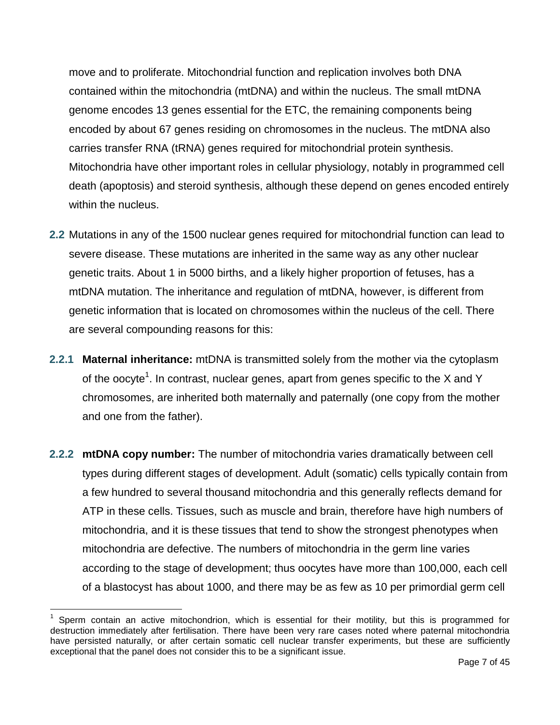move and to proliferate. Mitochondrial function and replication involves both DNA contained within the mitochondria (mtDNA) and within the nucleus. The small mtDNA genome encodes 13 genes essential for the ETC, the remaining components being encoded by about 67 genes residing on chromosomes in the nucleus. The mtDNA also carries transfer RNA (tRNA) genes required for mitochondrial protein synthesis. Mitochondria have other important roles in cellular physiology, notably in programmed cell death (apoptosis) and steroid synthesis, although these depend on genes encoded entirely within the nucleus.

- **2.2** Mutations in any of the 1500 nuclear genes required for mitochondrial function can lead to severe disease. These mutations are inherited in the same way as any other nuclear genetic traits. About 1 in 5000 births, and a likely higher proportion of fetuses, has a mtDNA mutation. The inheritance and regulation of mtDNA, however, is different from genetic information that is located on chromosomes within the nucleus of the cell. There are several compounding reasons for this:
- **2.2.1 Maternal inheritance:** mtDNA is transmitted solely from the mother via the cytoplasm of the oocyte<sup>1</sup>. In contrast, nuclear genes, apart from genes specific to the X and Y chromosomes, are inherited both maternally and paternally (one copy from the mother and one from the father).
- **2.2.2 mtDNA copy number:** The number of mitochondria varies dramatically between cell types during different stages of development. Adult (somatic) cells typically contain from a few hundred to several thousand mitochondria and this generally reflects demand for ATP in these cells. Tissues, such as muscle and brain, therefore have high numbers of mitochondria, and it is these tissues that tend to show the strongest phenotypes when mitochondria are defective. The numbers of mitochondria in the germ line varies according to the stage of development; thus oocytes have more than 100,000, each cell of a blastocyst has about 1000, and there may be as few as 10 per primordial germ cell

<sup>1</sup> Sperm contain an active mitochondrion, which is essential for their motility, but this is programmed for destruction immediately after fertilisation. There have been very rare cases noted where paternal mitochondria have persisted naturally, or after certain somatic cell nuclear transfer experiments, but these are sufficiently exceptional that the panel does not consider this to be a significant issue.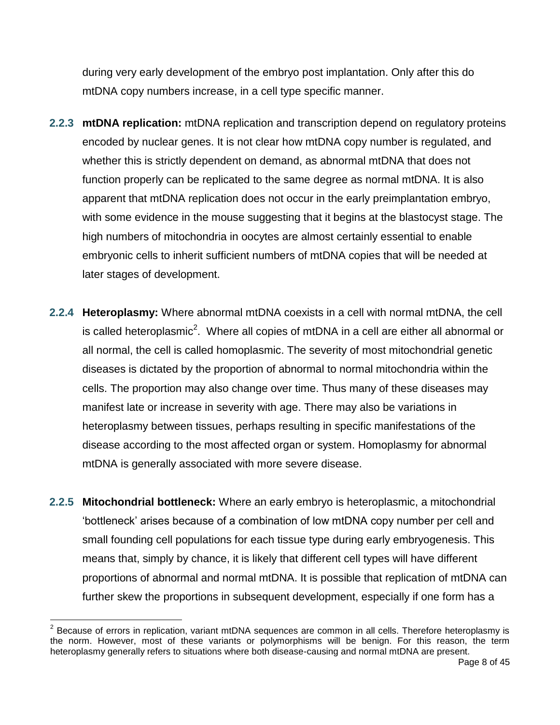during very early development of the embryo post implantation. Only after this do mtDNA copy numbers increase, in a cell type specific manner.

- **2.2.3 mtDNA replication:** mtDNA replication and transcription depend on regulatory proteins encoded by nuclear genes. It is not clear how mtDNA copy number is regulated, and whether this is strictly dependent on demand, as abnormal mtDNA that does not function properly can be replicated to the same degree as normal mtDNA. It is also apparent that mtDNA replication does not occur in the early preimplantation embryo, with some evidence in the mouse suggesting that it begins at the blastocyst stage. The high numbers of mitochondria in oocytes are almost certainly essential to enable embryonic cells to inherit sufficient numbers of mtDNA copies that will be needed at later stages of development.
- **2.2.4 Heteroplasmy:** Where abnormal mtDNA coexists in a cell with normal mtDNA, the cell is called heteroplasmic<sup>2</sup>. Where all copies of mtDNA in a cell are either all abnormal or all normal, the cell is called homoplasmic. The severity of most mitochondrial genetic diseases is dictated by the proportion of abnormal to normal mitochondria within the cells. The proportion may also change over time. Thus many of these diseases may manifest late or increase in severity with age. There may also be variations in heteroplasmy between tissues, perhaps resulting in specific manifestations of the disease according to the most affected organ or system. Homoplasmy for abnormal mtDNA is generally associated with more severe disease.
- **2.2.5 Mitochondrial bottleneck:** Where an early embryo is heteroplasmic, a mitochondrial "bottleneck" arises because of a combination of low mtDNA copy number per cell and small founding cell populations for each tissue type during early embryogenesis. This means that, simply by chance, it is likely that different cell types will have different proportions of abnormal and normal mtDNA. It is possible that replication of mtDNA can further skew the proportions in subsequent development, especially if one form has a

**ENECON CONCORDER**<br><sup>2</sup> Because of errors in replication, variant mtDNA sequences are common in all cells. Therefore heteroplasmy is the norm. However, most of these variants or polymorphisms will be benign. For this reason, the term heteroplasmy generally refers to situations where both disease-causing and normal mtDNA are present.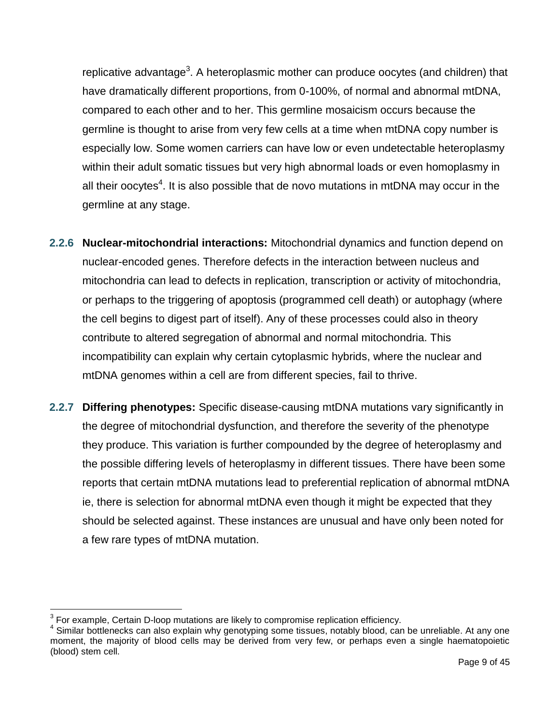replicative advantage<sup>3</sup>. A heteroplasmic mother can produce oocytes (and children) that have dramatically different proportions, from 0-100%, of normal and abnormal mtDNA, compared to each other and to her. This germline mosaicism occurs because the germline is thought to arise from very few cells at a time when mtDNA copy number is especially low. Some women carriers can have low or even undetectable heteroplasmy within their adult somatic tissues but very high abnormal loads or even homoplasmy in all their oocytes<sup>4</sup>. It is also possible that de novo mutations in mtDNA may occur in the germline at any stage.

- **2.2.6 Nuclear-mitochondrial interactions:** Mitochondrial dynamics and function depend on nuclear-encoded genes. Therefore defects in the interaction between nucleus and mitochondria can lead to defects in replication, transcription or activity of mitochondria, or perhaps to the triggering of apoptosis (programmed cell death) or autophagy (where the cell begins to digest part of itself). Any of these processes could also in theory contribute to altered segregation of abnormal and normal mitochondria. This incompatibility can explain why certain cytoplasmic hybrids, where the nuclear and mtDNA genomes within a cell are from different species, fail to thrive.
- **2.2.7 Differing phenotypes:** Specific disease-causing mtDNA mutations vary significantly in the degree of mitochondrial dysfunction, and therefore the severity of the phenotype they produce. This variation is further compounded by the degree of heteroplasmy and the possible differing levels of heteroplasmy in different tissues. There have been some reports that certain mtDNA mutations lead to preferential replication of abnormal mtDNA ie, there is selection for abnormal mtDNA even though it might be expected that they should be selected against. These instances are unusual and have only been noted for a few rare types of mtDNA mutation.

 $3$  For example, Certain D-loop mutations are likely to compromise replication efficiency.

<sup>4</sup> Similar bottlenecks can also explain why genotyping some tissues, notably blood, can be unreliable. At any one moment, the majority of blood cells may be derived from very few, or perhaps even a single haematopoietic (blood) stem cell.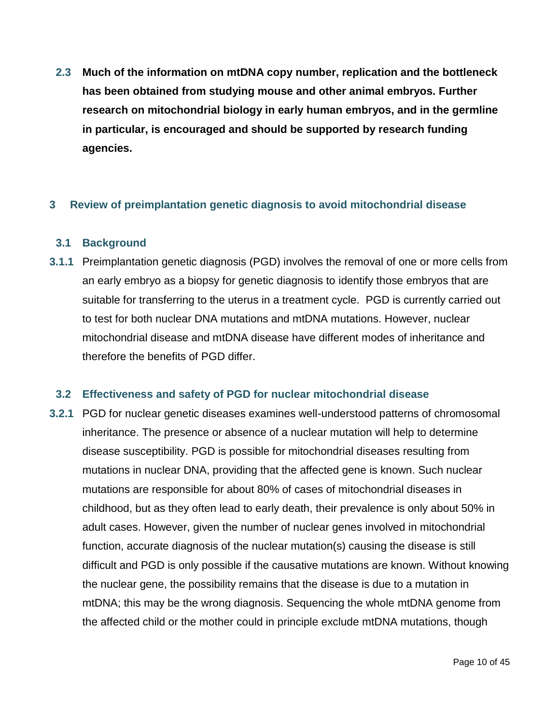**2.3 Much of the information on mtDNA copy number, replication and the bottleneck has been obtained from studying mouse and other animal embryos. Further research on mitochondrial biology in early human embryos, and in the germline in particular, is encouraged and should be supported by research funding agencies.** 

#### **3 Review of preimplantation genetic diagnosis to avoid mitochondrial disease**

#### **3.1 Background**

**3.1.1** Preimplantation genetic diagnosis (PGD) involves the removal of one or more cells from an early embryo as a biopsy for genetic diagnosis to identify those embryos that are suitable for transferring to the uterus in a treatment cycle. PGD is currently carried out to test for both nuclear DNA mutations and mtDNA mutations. However, nuclear mitochondrial disease and mtDNA disease have different modes of inheritance and therefore the benefits of PGD differ.

#### **3.2 Effectiveness and safety of PGD for nuclear mitochondrial disease**

**3.2.1** PGD for nuclear genetic diseases examines well-understood patterns of chromosomal inheritance. The presence or absence of a nuclear mutation will help to determine disease susceptibility. PGD is possible for mitochondrial diseases resulting from mutations in nuclear DNA, providing that the affected gene is known. Such nuclear mutations are responsible for about 80% of cases of mitochondrial diseases in childhood, but as they often lead to early death, their prevalence is only about 50% in adult cases. However, given the number of nuclear genes involved in mitochondrial function, accurate diagnosis of the nuclear mutation(s) causing the disease is still difficult and PGD is only possible if the causative mutations are known. Without knowing the nuclear gene, the possibility remains that the disease is due to a mutation in mtDNA; this may be the wrong diagnosis. Sequencing the whole mtDNA genome from the affected child or the mother could in principle exclude mtDNA mutations, though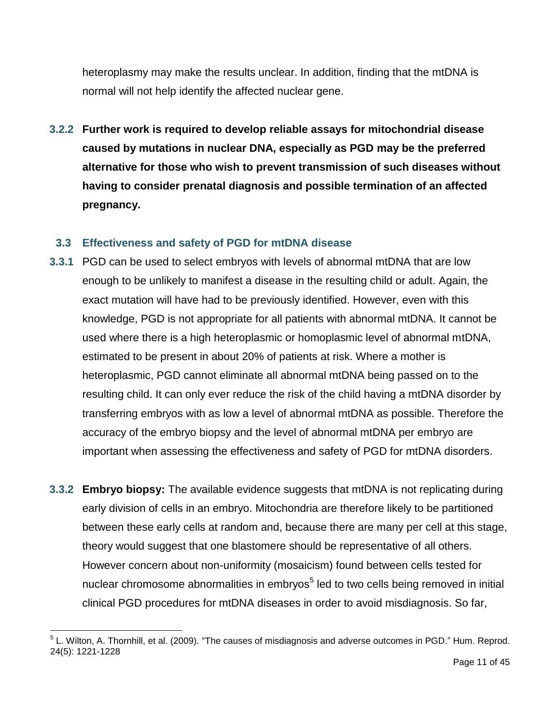heteroplasmy may make the results unclear. In addition, finding that the mtDNA is normal will not help identify the affected nuclear gene.

**3.2.2 Further work is required to develop reliable assays for mitochondrial disease caused by mutations in nuclear DNA, especially as PGD may be the preferred alternative for those who wish to prevent transmission of such diseases without having to consider prenatal diagnosis and possible termination of an affected pregnancy.** 

#### **3.3 Effectiveness and safety of PGD for mtDNA disease**

- **3.3.1** PGD can be used to select embryos with levels of abnormal mtDNA that are low enough to be unlikely to manifest a disease in the resulting child or adult. Again, the exact mutation will have had to be previously identified. However, even with this knowledge, PGD is not appropriate for all patients with abnormal mtDNA. It cannot be used where there is a high heteroplasmic or homoplasmic level of abnormal mtDNA, estimated to be present in about 20% of patients at risk. Where a mother is heteroplasmic, PGD cannot eliminate all abnormal mtDNA being passed on to the resulting child. It can only ever reduce the risk of the child having a mtDNA disorder by transferring embryos with as low a level of abnormal mtDNA as possible. Therefore the accuracy of the embryo biopsy and the level of abnormal mtDNA per embryo are important when assessing the effectiveness and safety of PGD for mtDNA disorders.
- **3.3.2 Embryo biopsy:** The available evidence suggests that mtDNA is not replicating during early division of cells in an embryo. Mitochondria are therefore likely to be partitioned between these early cells at random and, because there are many per cell at this stage, theory would suggest that one blastomere should be representative of all others. However concern about non-uniformity (mosaicism) found between cells tested for nuclear chromosome abnormalities in embryos<sup>5</sup> led to two cells being removed in initial clinical PGD procedures for mtDNA diseases in order to avoid misdiagnosis. So far,

<sup>&</sup>lt;sup>5</sup> L. Wilton, A. Thornhill, et al. (2009). "The causes of misdiagnosis and adverse outcomes in PGD." Hum. Reprod. 24(5): 1221-1228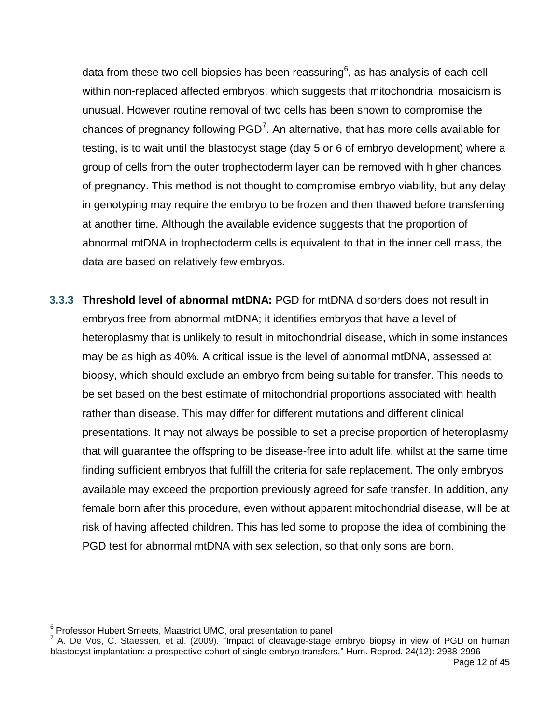data from these two cell biopsies has been reassuring $^6$ , as has analysis of each cell within non-replaced affected embryos, which suggests that mitochondrial mosaicism is unusual. However routine removal of two cells has been shown to compromise the chances of pregnancy following  $PGD<sup>7</sup>$ . An alternative, that has more cells available for testing, is to wait until the blastocyst stage (day 5 or 6 of embryo development) where a group of cells from the outer trophectoderm layer can be removed with higher chances of pregnancy. This method is not thought to compromise embryo viability, but any delay in genotyping may require the embryo to be frozen and then thawed before transferring at another time. Although the available evidence suggests that the proportion of abnormal mtDNA in trophectoderm cells is equivalent to that in the inner cell mass, the data are based on relatively few embryos.

**3.3.3 Threshold level of abnormal mtDNA:** PGD for mtDNA disorders does not result in embryos free from abnormal mtDNA; it identifies embryos that have a level of heteroplasmy that is unlikely to result in mitochondrial disease, which in some instances may be as high as 40%. A critical issue is the level of abnormal mtDNA, assessed at biopsy, which should exclude an embryo from being suitable for transfer. This needs to be set based on the best estimate of mitochondrial proportions associated with health rather than disease. This may differ for different mutations and different clinical presentations. It may not always be possible to set a precise proportion of heteroplasmy that will guarantee the offspring to be disease-free into adult life, whilst at the same time finding sufficient embryos that fulfill the criteria for safe replacement. The only embryos available may exceed the proportion previously agreed for safe transfer. In addition, any female born after this procedure, even without apparent mitochondrial disease, will be at risk of having affected children. This has led some to propose the idea of combining the PGD test for abnormal mtDNA with sex selection, so that only sons are born.

<sup>&</sup>lt;sup>6</sup> Professor Hubert Smeets, Maastrict UMC, oral presentation to panel

 $^7$  A. De Vos, C. Staessen, et al. (2009). "Impact of cleavage-stage embryo biopsy in view of PGD on human blastocyst implantation: a prospective cohort of single embryo transfers." Hum. Reprod. 24(12): 2988-2996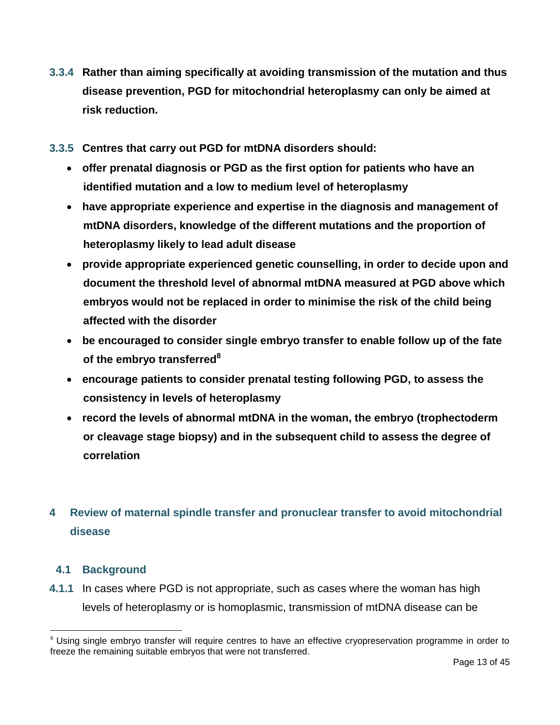- **3.3.4 Rather than aiming specifically at avoiding transmission of the mutation and thus disease prevention, PGD for mitochondrial heteroplasmy can only be aimed at risk reduction.**
- **3.3.5 Centres that carry out PGD for mtDNA disorders should:**
	- **offer prenatal diagnosis or PGD as the first option for patients who have an identified mutation and a low to medium level of heteroplasmy**
	- **have appropriate experience and expertise in the diagnosis and management of mtDNA disorders, knowledge of the different mutations and the proportion of heteroplasmy likely to lead adult disease**
	- **provide appropriate experienced genetic counselling, in order to decide upon and document the threshold level of abnormal mtDNA measured at PGD above which embryos would not be replaced in order to minimise the risk of the child being affected with the disorder**
	- **be encouraged to consider single embryo transfer to enable follow up of the fate of the embryo transferred<sup>8</sup>**
	- **encourage patients to consider prenatal testing following PGD, to assess the consistency in levels of heteroplasmy**
	- **record the levels of abnormal mtDNA in the woman, the embryo (trophectoderm or cleavage stage biopsy) and in the subsequent child to assess the degree of correlation**

# **4 Review of maternal spindle transfer and pronuclear transfer to avoid mitochondrial disease**

## **4.1 Background**

 $\overline{a}$ 

**4.1.1** In cases where PGD is not appropriate, such as cases where the woman has high levels of heteroplasmy or is homoplasmic, transmission of mtDNA disease can be

<sup>&</sup>lt;sup>8</sup> Using single embryo transfer will require centres to have an effective cryopreservation programme in order to freeze the remaining suitable embryos that were not transferred.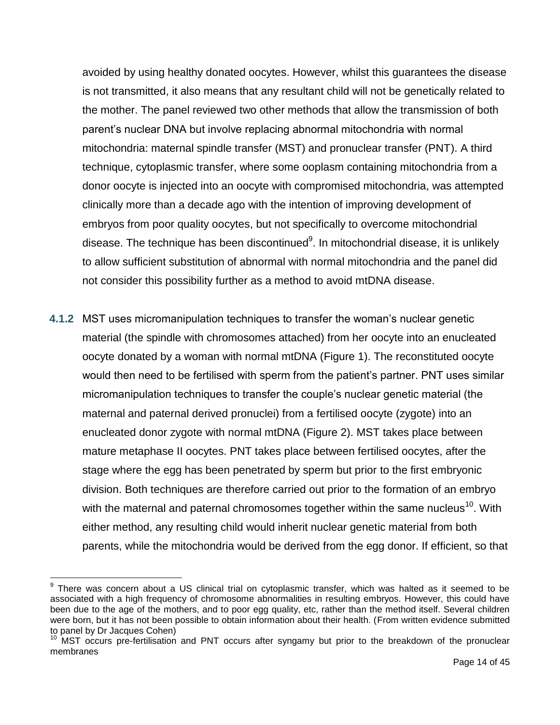avoided by using healthy donated oocytes. However, whilst this guarantees the disease is not transmitted, it also means that any resultant child will not be genetically related to the mother. The panel reviewed two other methods that allow the transmission of both parent"s nuclear DNA but involve replacing abnormal mitochondria with normal mitochondria: maternal spindle transfer (MST) and pronuclear transfer (PNT). A third technique, cytoplasmic transfer, where some ooplasm containing mitochondria from a donor oocyte is injected into an oocyte with compromised mitochondria, was attempted clinically more than a decade ago with the intention of improving development of embryos from poor quality oocytes, but not specifically to overcome mitochondrial disease. The technique has been discontinued $^{9}$ . In mitochondrial disease, it is unlikely to allow sufficient substitution of abnormal with normal mitochondria and the panel did not consider this possibility further as a method to avoid mtDNA disease.

**4.1.2** MST uses micromanipulation techniques to transfer the woman's nuclear genetic material (the spindle with chromosomes attached) from her oocyte into an enucleated oocyte donated by a woman with normal mtDNA (Figure 1). The reconstituted oocyte would then need to be fertilised with sperm from the patient's partner. PNT uses similar micromanipulation techniques to transfer the couple"s nuclear genetic material (the maternal and paternal derived pronuclei) from a fertilised oocyte (zygote) into an enucleated donor zygote with normal mtDNA (Figure 2). MST takes place between mature metaphase II oocytes. PNT takes place between fertilised oocytes, after the stage where the egg has been penetrated by sperm but prior to the first embryonic division. Both techniques are therefore carried out prior to the formation of an embryo with the maternal and paternal chromosomes together within the same nucleus<sup>10</sup>. With either method, any resulting child would inherit nuclear genetic material from both parents, while the mitochondria would be derived from the egg donor. If efficient, so that

<sup>&</sup>lt;sup>9</sup> There was concern about a US clinical trial on cytoplasmic transfer, which was halted as it seemed to be associated with a high frequency of chromosome abnormalities in resulting embryos. However, this could have been due to the age of the mothers, and to poor egg quality, etc, rather than the method itself. Several children were born, but it has not been possible to obtain information about their health. (From written evidence submitted to panel by Dr Jacques Cohen)

<sup>&</sup>lt;sup>10</sup> MST occurs pre-fertilisation and PNT occurs after syngamy but prior to the breakdown of the pronuclear membranes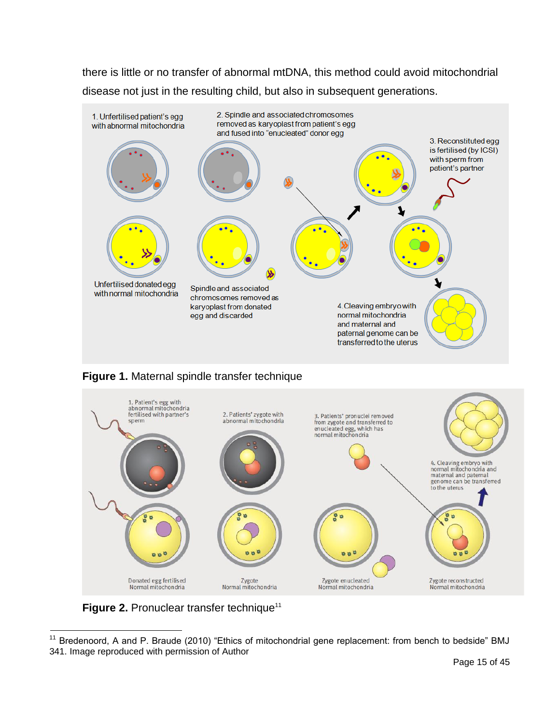there is little or no transfer of abnormal mtDNA, this method could avoid mitochondrial disease not just in the resulting child, but also in subsequent generations.







Figure 2. Pronuclear transfer technique<sup>11</sup>

 $11$  Bredenoord, A and P. Braude (2010) "Ethics of mitochondrial gene replacement: from bench to bedside" BMJ 341. Image reproduced with permission of Author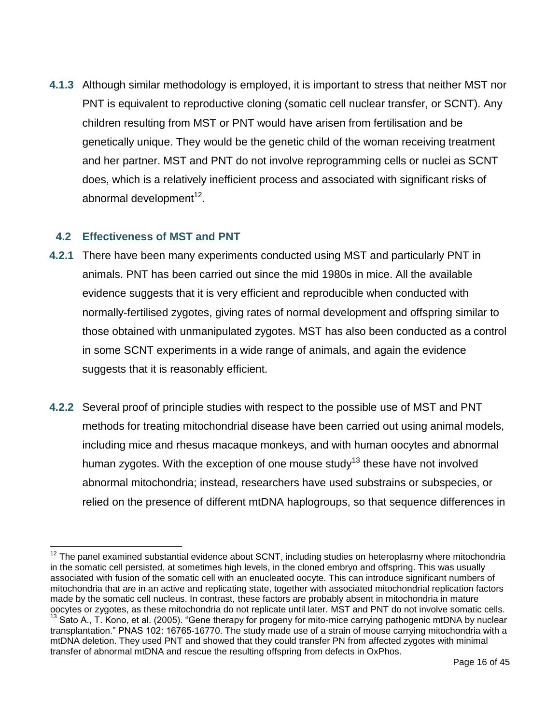**4.1.3** Although similar methodology is employed, it is important to stress that neither MST nor PNT is equivalent to reproductive cloning (somatic cell nuclear transfer, or SCNT). Any children resulting from MST or PNT would have arisen from fertilisation and be genetically unique. They would be the genetic child of the woman receiving treatment and her partner. MST and PNT do not involve reprogramming cells or nuclei as SCNT does, which is a relatively inefficient process and associated with significant risks of abnormal development $^{12}$ .

#### **4.2 Effectiveness of MST and PNT**

- **4.2.1** There have been many experiments conducted using MST and particularly PNT in animals. PNT has been carried out since the mid 1980s in mice. All the available evidence suggests that it is very efficient and reproducible when conducted with normally-fertilised zygotes, giving rates of normal development and offspring similar to those obtained with unmanipulated zygotes. MST has also been conducted as a control in some SCNT experiments in a wide range of animals, and again the evidence suggests that it is reasonably efficient.
- **4.2.2** Several proof of principle studies with respect to the possible use of MST and PNT methods for treating mitochondrial disease have been carried out using animal models, including mice and rhesus macaque monkeys, and with human oocytes and abnormal human zygotes. With the exception of one mouse study<sup>13</sup> these have not involved abnormal mitochondria; instead, researchers have used substrains or subspecies, or relied on the presence of different mtDNA haplogroups, so that sequence differences in

 $12$  The panel examined substantial evidence about SCNT, including studies on heteroplasmy where mitochondria in the somatic cell persisted, at sometimes high levels, in the cloned embryo and offspring. This was usually associated with fusion of the somatic cell with an enucleated oocyte. This can introduce significant numbers of mitochondria that are in an active and replicating state, together with associated mitochondrial replication factors made by the somatic cell nucleus. In contrast, these factors are probably absent in mitochondria in mature oocytes or zygotes, as these mitochondria do not replicate until later. MST and PNT do not involve somatic cells. <sup>13</sup> Sato A., T. Kono, et al. (2005). "Gene therapy for progeny for mito-mice carrying pathogenic mtDNA by nuclear transplantation." PNAS 102: 16765-16770. The study made use of a strain of mouse carrying mitochondria with a mtDNA deletion. They used PNT and showed that they could transfer PN from affected zygotes with minimal transfer of abnormal mtDNA and rescue the resulting offspring from defects in OxPhos.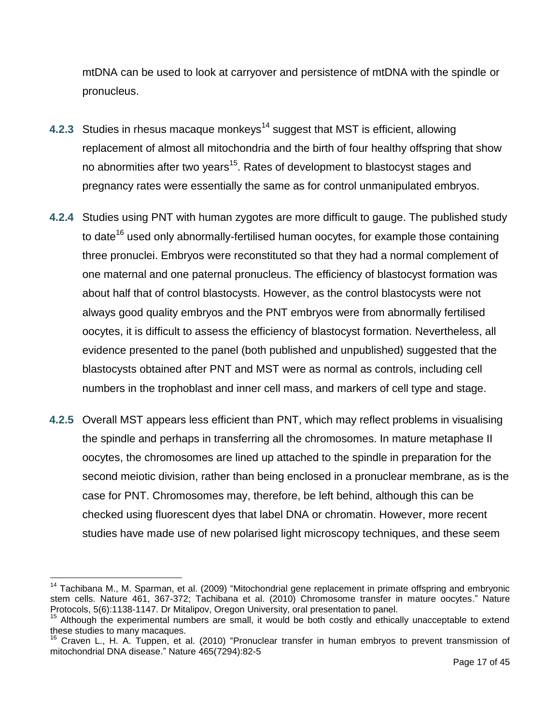mtDNA can be used to look at carryover and persistence of mtDNA with the spindle or pronucleus.

- **4.2.3** Studies in rhesus macaque monkeys<sup>14</sup> suggest that MST is efficient, allowing replacement of almost all mitochondria and the birth of four healthy offspring that show no abnormities after two years<sup>15</sup>. Rates of development to blastocyst stages and pregnancy rates were essentially the same as for control unmanipulated embryos.
- **4.2.4** Studies using PNT with human zygotes are more difficult to gauge. The published study to date<sup>16</sup> used only abnormally-fertilised human oocytes, for example those containing three pronuclei. Embryos were reconstituted so that they had a normal complement of one maternal and one paternal pronucleus. The efficiency of blastocyst formation was about half that of control blastocysts. However, as the control blastocysts were not always good quality embryos and the PNT embryos were from abnormally fertilised oocytes, it is difficult to assess the efficiency of blastocyst formation. Nevertheless, all evidence presented to the panel (both published and unpublished) suggested that the blastocysts obtained after PNT and MST were as normal as controls, including cell numbers in the trophoblast and inner cell mass, and markers of cell type and stage.
- **4.2.5** Overall MST appears less efficient than PNT, which may reflect problems in visualising the spindle and perhaps in transferring all the chromosomes. In mature metaphase II oocytes, the chromosomes are lined up attached to the spindle in preparation for the second meiotic division, rather than being enclosed in a pronuclear membrane, as is the case for PNT. Chromosomes may, therefore, be left behind, although this can be checked using fluorescent dyes that label DNA or chromatin. However, more recent studies have made use of new polarised light microscopy techniques, and these seem

<sup>&</sup>lt;sup>14</sup> Tachibana M., M. Sparman, et al. (2009) "Mitochondrial gene replacement in primate offspring and embryonic stem cells. Nature 461, 367-372; Tachibana et al. (2010) Chromosome transfer in mature oocytes." Nature Protocols, 5(6):1138-1147. Dr Mitalipov, Oregon University, oral presentation to panel.

<sup>&</sup>lt;sup>15</sup> Although the experimental numbers are small, it would be both costly and ethically unacceptable to extend these studies to many macaques.

<sup>&</sup>lt;sup>16</sup> Craven L., H. A. Tuppen, et al. (2010) "Pronuclear transfer in human embryos to prevent transmission of mitochondrial DNA disease." Nature 465(7294):82-5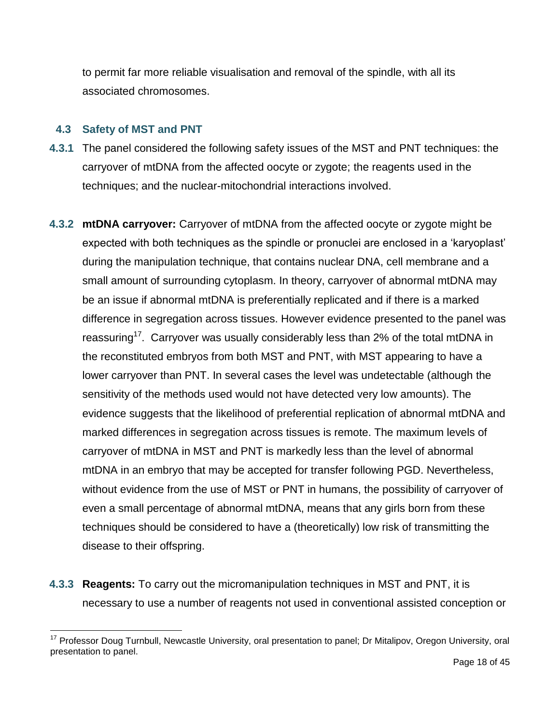to permit far more reliable visualisation and removal of the spindle, with all its associated chromosomes.

#### **4.3 Safety of MST and PNT**

- **4.3.1** The panel considered the following safety issues of the MST and PNT techniques: the carryover of mtDNA from the affected oocyte or zygote; the reagents used in the techniques; and the nuclear-mitochondrial interactions involved.
- **4.3.2 mtDNA carryover:** Carryover of mtDNA from the affected oocyte or zygote might be expected with both techniques as the spindle or pronuclei are enclosed in a "karyoplast" during the manipulation technique, that contains nuclear DNA, cell membrane and a small amount of surrounding cytoplasm. In theory, carryover of abnormal mtDNA may be an issue if abnormal mtDNA is preferentially replicated and if there is a marked difference in segregation across tissues. However evidence presented to the panel was reassuring<sup>17</sup>. Carryover was usually considerably less than 2% of the total mtDNA in the reconstituted embryos from both MST and PNT, with MST appearing to have a lower carryover than PNT. In several cases the level was undetectable (although the sensitivity of the methods used would not have detected very low amounts). The evidence suggests that the likelihood of preferential replication of abnormal mtDNA and marked differences in segregation across tissues is remote. The maximum levels of carryover of mtDNA in MST and PNT is markedly less than the level of abnormal mtDNA in an embryo that may be accepted for transfer following PGD. Nevertheless, without evidence from the use of MST or PNT in humans, the possibility of carryover of even a small percentage of abnormal mtDNA, means that any girls born from these techniques should be considered to have a (theoretically) low risk of transmitting the disease to their offspring.
- **4.3.3 Reagents:** To carry out the micromanipulation techniques in MST and PNT, it is necessary to use a number of reagents not used in conventional assisted conception or

<sup>&</sup>lt;sup>17</sup> Professor Doug Turnbull, Newcastle University, oral presentation to panel; Dr Mitalipov, Oregon University, oral presentation to panel.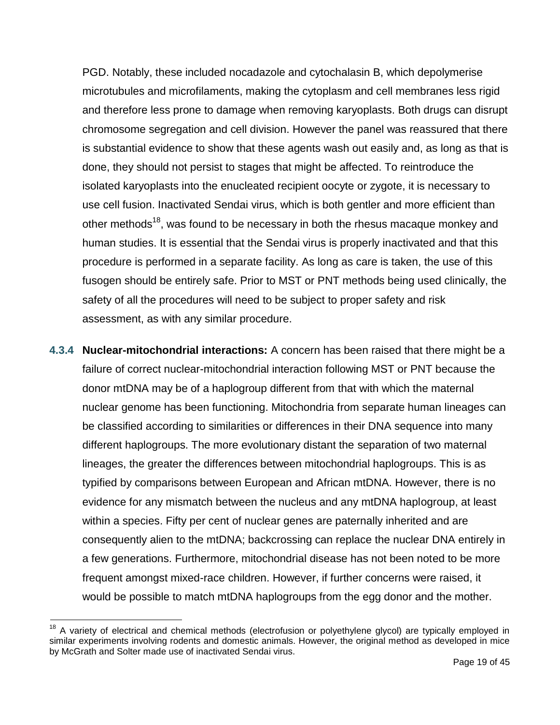PGD. Notably, these included nocadazole and cytochalasin B, which depolymerise microtubules and microfilaments, making the cytoplasm and cell membranes less rigid and therefore less prone to damage when removing karyoplasts. Both drugs can disrupt chromosome segregation and cell division. However the panel was reassured that there is substantial evidence to show that these agents wash out easily and, as long as that is done, they should not persist to stages that might be affected. To reintroduce the isolated karyoplasts into the enucleated recipient oocyte or zygote, it is necessary to use cell fusion. Inactivated Sendai virus, which is both gentler and more efficient than other methods<sup>18</sup>, was found to be necessary in both the rhesus macaque monkey and human studies. It is essential that the Sendai virus is properly inactivated and that this procedure is performed in a separate facility. As long as care is taken, the use of this fusogen should be entirely safe. Prior to MST or PNT methods being used clinically, the safety of all the procedures will need to be subject to proper safety and risk assessment, as with any similar procedure.

**4.3.4 Nuclear-mitochondrial interactions:** A concern has been raised that there might be a failure of correct nuclear-mitochondrial interaction following MST or PNT because the donor mtDNA may be of a haplogroup different from that with which the maternal nuclear genome has been functioning. Mitochondria from separate human lineages can be classified according to similarities or differences in their DNA sequence into many different haplogroups. The more evolutionary distant the separation of two maternal lineages, the greater the differences between mitochondrial haplogroups. This is as typified by comparisons between European and African mtDNA. However, there is no evidence for any mismatch between the nucleus and any mtDNA haplogroup, at least within a species. Fifty per cent of nuclear genes are paternally inherited and are consequently alien to the mtDNA; backcrossing can replace the nuclear DNA entirely in a few generations. Furthermore, mitochondrial disease has not been noted to be more frequent amongst mixed-race children. However, if further concerns were raised, it would be possible to match mtDNA haplogroups from the egg donor and the mother.

<sup>&</sup>lt;sup>18</sup> A variety of electrical and chemical methods (electrofusion or polyethylene glycol) are typically employed in similar experiments involving rodents and domestic animals. However, the original method as developed in mice by McGrath and Solter made use of inactivated Sendai virus.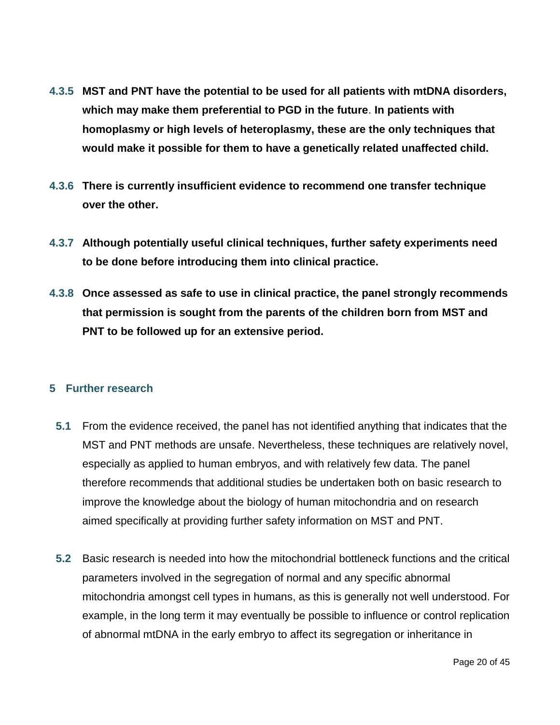- **4.3.5 MST and PNT have the potential to be used for all patients with mtDNA disorders, which may make them preferential to PGD in the future**. **In patients with homoplasmy or high levels of heteroplasmy, these are the only techniques that would make it possible for them to have a genetically related unaffected child.**
- **4.3.6 There is currently insufficient evidence to recommend one transfer technique over the other.**
- **4.3.7 Although potentially useful clinical techniques, further safety experiments need to be done before introducing them into clinical practice.**
- **4.3.8 Once assessed as safe to use in clinical practice, the panel strongly recommends that permission is sought from the parents of the children born from MST and PNT to be followed up for an extensive period.**

#### **5 Further research**

- **5.1** From the evidence received, the panel has not identified anything that indicates that the MST and PNT methods are unsafe. Nevertheless, these techniques are relatively novel, especially as applied to human embryos, and with relatively few data. The panel therefore recommends that additional studies be undertaken both on basic research to improve the knowledge about the biology of human mitochondria and on research aimed specifically at providing further safety information on MST and PNT.
- **5.2** Basic research is needed into how the mitochondrial bottleneck functions and the critical parameters involved in the segregation of normal and any specific abnormal mitochondria amongst cell types in humans, as this is generally not well understood. For example, in the long term it may eventually be possible to influence or control replication of abnormal mtDNA in the early embryo to affect its segregation or inheritance in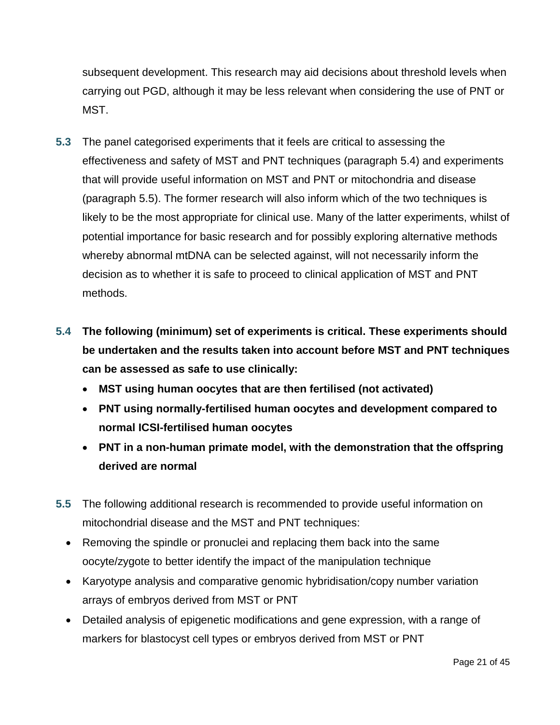subsequent development. This research may aid decisions about threshold levels when carrying out PGD, although it may be less relevant when considering the use of PNT or MST.

- **5.3** The panel categorised experiments that it feels are critical to assessing the effectiveness and safety of MST and PNT techniques (paragraph 5.4) and experiments that will provide useful information on MST and PNT or mitochondria and disease (paragraph 5.5). The former research will also inform which of the two techniques is likely to be the most appropriate for clinical use. Many of the latter experiments, whilst of potential importance for basic research and for possibly exploring alternative methods whereby abnormal mtDNA can be selected against, will not necessarily inform the decision as to whether it is safe to proceed to clinical application of MST and PNT methods.
- **5.4 The following (minimum) set of experiments is critical. These experiments should be undertaken and the results taken into account before MST and PNT techniques can be assessed as safe to use clinically:**
	- **MST using human oocytes that are then fertilised (not activated)**
	- **PNT using normally-fertilised human oocytes and development compared to normal ICSI-fertilised human oocytes**
	- **PNT in a non-human primate model, with the demonstration that the offspring derived are normal**
- **5.5** The following additional research is recommended to provide useful information on mitochondrial disease and the MST and PNT techniques:
	- Removing the spindle or pronuclei and replacing them back into the same oocyte/zygote to better identify the impact of the manipulation technique
	- Karyotype analysis and comparative genomic hybridisation/copy number variation arrays of embryos derived from MST or PNT
	- Detailed analysis of epigenetic modifications and gene expression, with a range of markers for blastocyst cell types or embryos derived from MST or PNT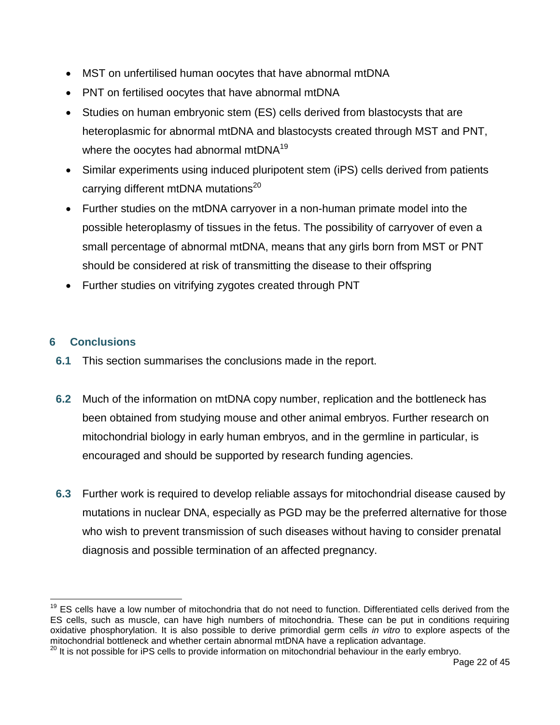- MST on unfertilised human oocytes that have abnormal mtDNA
- PNT on fertilised oocytes that have abnormal mtDNA
- Studies on human embryonic stem (ES) cells derived from blastocysts that are heteroplasmic for abnormal mtDNA and blastocysts created through MST and PNT, where the oocytes had abnormal mtDNA<sup>19</sup>
- Similar experiments using induced pluripotent stem (iPS) cells derived from patients carrying different mtDNA mutations<sup>20</sup>
- Further studies on the mtDNA carryover in a non-human primate model into the possible heteroplasmy of tissues in the fetus. The possibility of carryover of even a small percentage of abnormal mtDNA, means that any girls born from MST or PNT should be considered at risk of transmitting the disease to their offspring
- Further studies on vitrifying zygotes created through PNT

# **6 Conclusions**

- **6.1** This section summarises the conclusions made in the report.
- **6.2** Much of the information on mtDNA copy number, replication and the bottleneck has been obtained from studying mouse and other animal embryos. Further research on mitochondrial biology in early human embryos, and in the germline in particular, is encouraged and should be supported by research funding agencies.
- **6.3** Further work is required to develop reliable assays for mitochondrial disease caused by mutations in nuclear DNA, especially as PGD may be the preferred alternative for those who wish to prevent transmission of such diseases without having to consider prenatal diagnosis and possible termination of an affected pregnancy.

 $\overline{a}$ <sup>19</sup> ES cells have a low number of mitochondria that do not need to function. Differentiated cells derived from the ES cells, such as muscle, can have high numbers of mitochondria. These can be put in conditions requiring oxidative phosphorylation. It is also possible to derive primordial germ cells *in vitro* to explore aspects of the mitochondrial bottleneck and whether certain abnormal mtDNA have a replication advantage.

<sup>&</sup>lt;sup>20</sup> It is not possible for iPS cells to provide information on mitochondrial behaviour in the early embryo.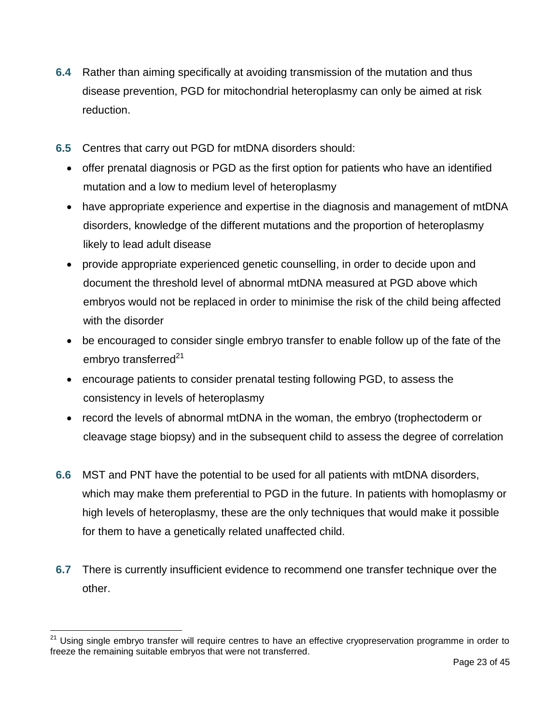- **6.4** Rather than aiming specifically at avoiding transmission of the mutation and thus disease prevention, PGD for mitochondrial heteroplasmy can only be aimed at risk reduction.
- **6.5** Centres that carry out PGD for mtDNA disorders should:
	- offer prenatal diagnosis or PGD as the first option for patients who have an identified mutation and a low to medium level of heteroplasmy
	- have appropriate experience and expertise in the diagnosis and management of mtDNA disorders, knowledge of the different mutations and the proportion of heteroplasmy likely to lead adult disease
	- provide appropriate experienced genetic counselling, in order to decide upon and document the threshold level of abnormal mtDNA measured at PGD above which embryos would not be replaced in order to minimise the risk of the child being affected with the disorder
	- be encouraged to consider single embryo transfer to enable follow up of the fate of the embryo transferred $21$
	- encourage patients to consider prenatal testing following PGD, to assess the consistency in levels of heteroplasmy
	- record the levels of abnormal mtDNA in the woman, the embryo (trophectoderm or cleavage stage biopsy) and in the subsequent child to assess the degree of correlation
- **6.6** MST and PNT have the potential to be used for all patients with mtDNA disorders, which may make them preferential to PGD in the future. In patients with homoplasmy or high levels of heteroplasmy, these are the only techniques that would make it possible for them to have a genetically related unaffected child.
- **6.7** There is currently insufficient evidence to recommend one transfer technique over the other.

<sup>&</sup>lt;sup>21</sup> Using single embryo transfer will require centres to have an effective cryopreservation programme in order to freeze the remaining suitable embryos that were not transferred.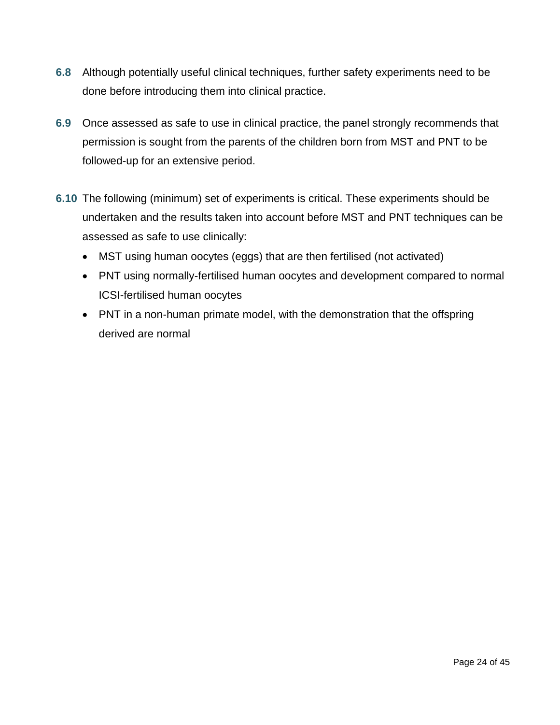- **6.8** Although potentially useful clinical techniques, further safety experiments need to be done before introducing them into clinical practice.
- **6.9** Once assessed as safe to use in clinical practice, the panel strongly recommends that permission is sought from the parents of the children born from MST and PNT to be followed-up for an extensive period.
- **6.10** The following (minimum) set of experiments is critical. These experiments should be undertaken and the results taken into account before MST and PNT techniques can be assessed as safe to use clinically:
	- MST using human oocytes (eggs) that are then fertilised (not activated)
	- PNT using normally-fertilised human oocytes and development compared to normal ICSI-fertilised human oocytes
	- PNT in a non-human primate model, with the demonstration that the offspring derived are normal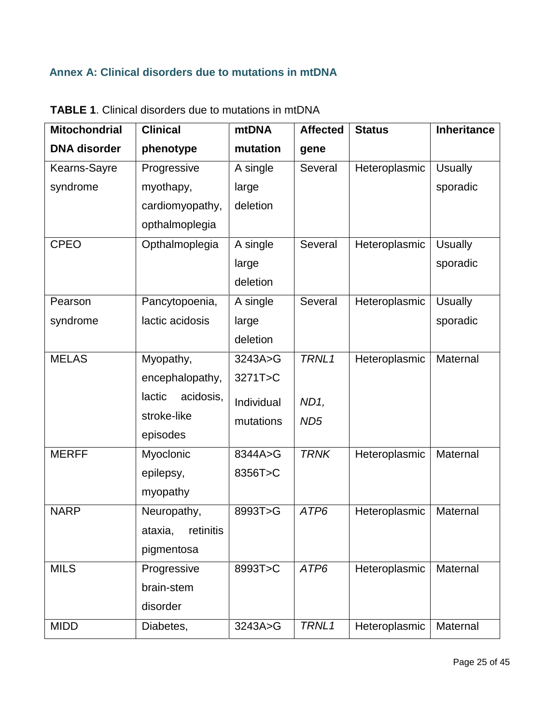# **Annex A: Clinical disorders due to mutations in mtDNA**

| <b>Mitochondrial</b> | <b>Clinical</b>     | <b>mtDNA</b> | <b>Affected</b> | <b>Status</b> | <b>Inheritance</b> |
|----------------------|---------------------|--------------|-----------------|---------------|--------------------|
| <b>DNA</b> disorder  | phenotype           | mutation     | gene            |               |                    |
| Kearns-Sayre         | Progressive         | A single     | Several         | Heteroplasmic | <b>Usually</b>     |
| syndrome             | myothapy,           | large        |                 |               | sporadic           |
|                      | cardiomyopathy,     | deletion     |                 |               |                    |
|                      | opthalmoplegia      |              |                 |               |                    |
| <b>CPEO</b>          | Opthalmoplegia      | A single     | Several         | Heteroplasmic | <b>Usually</b>     |
|                      |                     | large        |                 |               | sporadic           |
|                      |                     | deletion     |                 |               |                    |
| Pearson              | Pancytopoenia,      | A single     | Several         | Heteroplasmic | <b>Usually</b>     |
| syndrome             | lactic acidosis     | large        |                 |               | sporadic           |
|                      |                     | deletion     |                 |               |                    |
| <b>MELAS</b>         | Myopathy,           | 3243A>G      | TRNL1           | Heteroplasmic | Maternal           |
|                      | encephalopathy,     | 3271T>C      |                 |               |                    |
|                      | lactic<br>acidosis, | Individual   | ND1,            |               |                    |
|                      | stroke-like         | mutations    | ND <sub>5</sub> |               |                    |
|                      | episodes            |              |                 |               |                    |
| <b>MERFF</b>         | Myoclonic           | 8344A>G      | <b>TRNK</b>     | Heteroplasmic | Maternal           |
|                      | epilepsy,           | 8356T>C      |                 |               |                    |
|                      | myopathy            |              |                 |               |                    |
| <b>NARP</b>          | Neuropathy,         | 8993T>G      | ATP6            | Heteroplasmic | Maternal           |
|                      | ataxia, retinitis   |              |                 |               |                    |
|                      | pigmentosa          |              |                 |               |                    |
| <b>MILS</b>          | Progressive         | 8993T>C      | ATP6            | Heteroplasmic | Maternal           |
|                      | brain-stem          |              |                 |               |                    |
|                      | disorder            |              |                 |               |                    |
| <b>MIDD</b>          | Diabetes,           | 3243A>G      | TRNL1           | Heteroplasmic | Maternal           |

**TABLE 1**. Clinical disorders due to mutations in mtDNA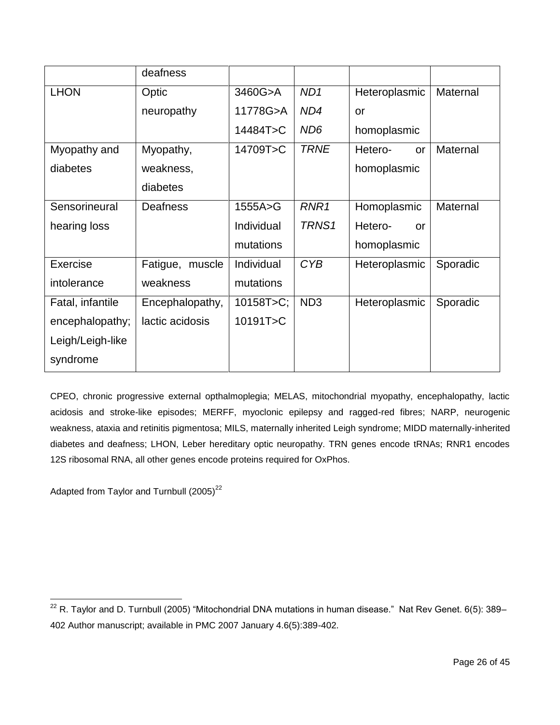|                  | deafness           |                |                  |                      |          |
|------------------|--------------------|----------------|------------------|----------------------|----------|
| <b>LHON</b>      | Optic              | 3460G>A        | ND <sub>1</sub>  | Heteroplasmic        | Maternal |
|                  | neuropathy         | 11778G>A       | ND4              | <b>or</b>            |          |
|                  |                    | 14484T>C       | ND <sub>6</sub>  | homoplasmic          |          |
| Myopathy and     | Myopathy,          | 14709T>C       | <b>TRNE</b>      | Hetero-<br><b>or</b> | Maternal |
| diabetes         | weakness,          |                |                  | homoplasmic          |          |
|                  | diabetes           |                |                  |                      |          |
| Sensorineural    | <b>Deafness</b>    | 1555A>G        | RNR <sub>1</sub> | Homoplasmic          | Maternal |
| hearing loss     |                    | Individual     | TRNS1            | Hetero-<br>$\alpha$  |          |
|                  |                    | mutations      |                  | homoplasmic          |          |
| Exercise         | Fatigue,<br>muscle | Individual     | <b>CYB</b>       | Heteroplasmic        | Sporadic |
| intolerance      | weakness           | mutations      |                  |                      |          |
| Fatal, infantile | Encephalopathy,    | $10158T > C$ ; | ND <sub>3</sub>  | Heteroplasmic        | Sporadic |
| encephalopathy;  | lactic acidosis    | 10191T>C       |                  |                      |          |
| Leigh/Leigh-like |                    |                |                  |                      |          |
| syndrome         |                    |                |                  |                      |          |

CPEO, chronic progressive external opthalmoplegia; MELAS, mitochondrial myopathy, encephalopathy, lactic acidosis and stroke-like episodes; MERFF, myoclonic epilepsy and ragged-red fibres; NARP, neurogenic weakness, ataxia and retinitis pigmentosa; MILS, maternally inherited Leigh syndrome; MIDD maternally-inherited diabetes and deafness; LHON, Leber hereditary optic neuropathy. TRN genes encode tRNAs; RNR1 encodes 12S ribosomal RNA, all other genes encode proteins required for OxPhos.

Adapted from Taylor and Turnbull (2005)<sup>22</sup>

 $\overline{a}$  $^{22}$  R. Taylor and D. Turnbull (2005) "Mitochondrial DNA mutations in human disease." Nat Rev Genet. 6(5): 389– 402 Author manuscript; available in PMC 2007 January 4.6(5):389-402.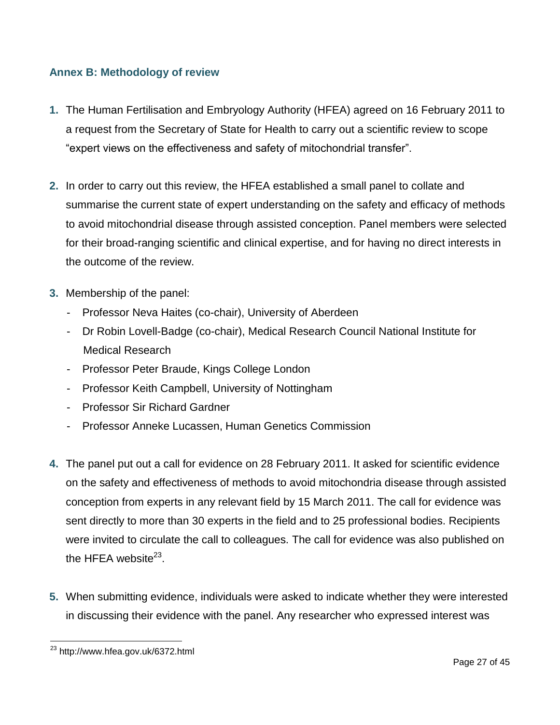#### **Annex B: Methodology of review**

- **1.** The Human Fertilisation and Embryology Authority (HFEA) agreed on 16 February 2011 to a request from the Secretary of State for Health to carry out a scientific review to scope "expert views on the effectiveness and safety of mitochondrial transfer".
- **2.** In order to carry out this review, the HFEA established a small panel to collate and summarise the current state of expert understanding on the safety and efficacy of methods to avoid mitochondrial disease through assisted conception. Panel members were selected for their broad-ranging scientific and clinical expertise, and for having no direct interests in the outcome of the review.
- **3.** Membership of the panel:
	- Professor Neva Haites (co-chair), University of Aberdeen
	- Dr Robin Lovell-Badge (co-chair), Medical Research Council National Institute for Medical Research
	- Professor Peter Braude, Kings College London
	- Professor Keith Campbell, University of Nottingham
	- Professor Sir Richard Gardner
	- Professor Anneke Lucassen, Human Genetics Commission
- **4.** The panel put out a call for evidence on 28 February 2011. It asked for scientific evidence on the safety and effectiveness of methods to avoid mitochondria disease through assisted conception from experts in any relevant field by 15 March 2011. The call for evidence was sent directly to more than 30 experts in the field and to 25 professional bodies. Recipients were invited to circulate the call to colleagues. The call for evidence was also published on the HFEA website $^{23}$ .
- **5.** When submitting evidence, individuals were asked to indicate whether they were interested in discussing their evidence with the panel. Any researcher who expressed interest was

 $\overline{a}$ <sup>23</sup> http://www.hfea.gov.uk/6372.html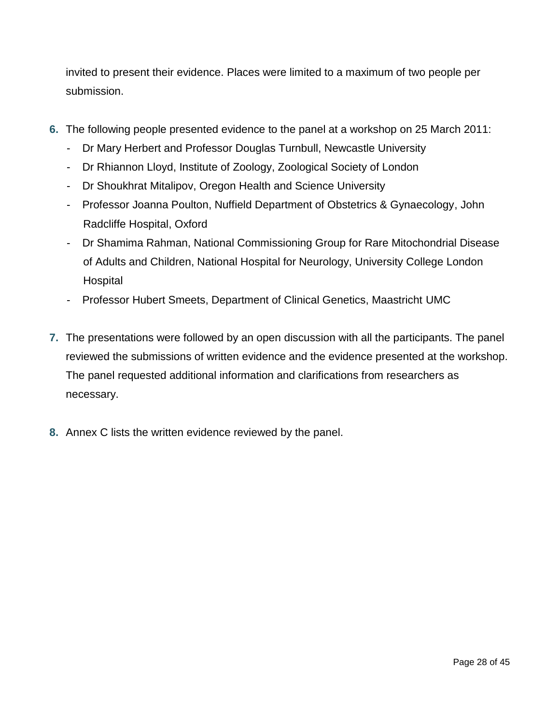invited to present their evidence. Places were limited to a maximum of two people per submission.

- **6.** The following people presented evidence to the panel at a workshop on 25 March 2011:
	- Dr Mary Herbert and Professor Douglas Turnbull, Newcastle University
	- Dr Rhiannon Lloyd, Institute of Zoology, Zoological Society of London
	- Dr Shoukhrat Mitalipov, Oregon Health and Science University
	- Professor Joanna Poulton, Nuffield Department of Obstetrics & Gynaecology, John Radcliffe Hospital, Oxford
	- Dr Shamima Rahman, National Commissioning Group for Rare Mitochondrial Disease of Adults and Children, National Hospital for Neurology, University College London **Hospital**
	- Professor Hubert Smeets, Department of Clinical Genetics, Maastricht UMC
- **7.** The presentations were followed by an open discussion with all the participants. The panel reviewed the submissions of written evidence and the evidence presented at the workshop. The panel requested additional information and clarifications from researchers as necessary.
- **8.** Annex C lists the written evidence reviewed by the panel.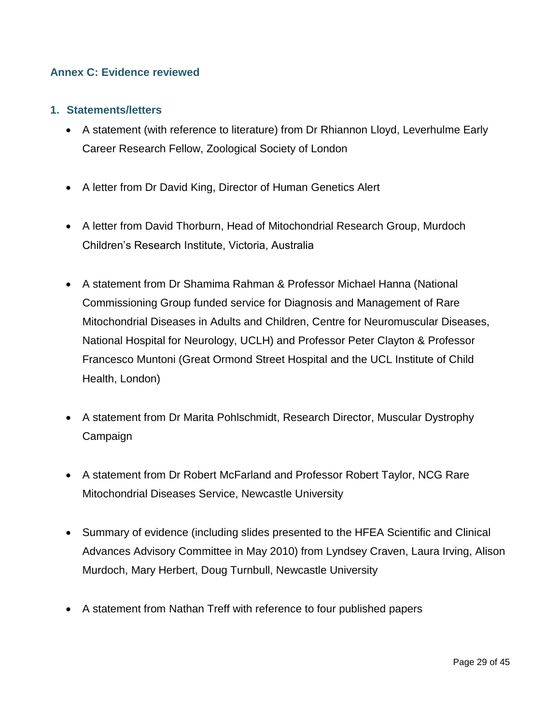#### **Annex C: Evidence reviewed**

#### **1. Statements/letters**

- A statement (with reference to literature) from Dr Rhiannon Lloyd, Leverhulme Early Career Research Fellow, Zoological Society of London
- A letter from Dr David King, Director of Human Genetics Alert
- A letter from David Thorburn, Head of Mitochondrial Research Group, Murdoch Children"s Research Institute, Victoria, Australia
- A statement from Dr Shamima Rahman & Professor Michael Hanna (National Commissioning Group funded service for Diagnosis and Management of Rare Mitochondrial Diseases in Adults and Children, Centre for Neuromuscular Diseases, National Hospital for Neurology, UCLH) and Professor Peter Clayton & Professor Francesco Muntoni (Great Ormond Street Hospital and the UCL Institute of Child Health, London)
- A statement from Dr Marita Pohlschmidt, Research Director, Muscular Dystrophy Campaign
- A statement from Dr Robert McFarland and Professor Robert Taylor, NCG Rare Mitochondrial Diseases Service, Newcastle University
- Summary of evidence (including slides presented to the HFEA Scientific and Clinical Advances Advisory Committee in May 2010) from Lyndsey Craven, Laura Irving, Alison Murdoch, Mary Herbert, Doug Turnbull, Newcastle University
- A statement from Nathan Treff with reference to four published papers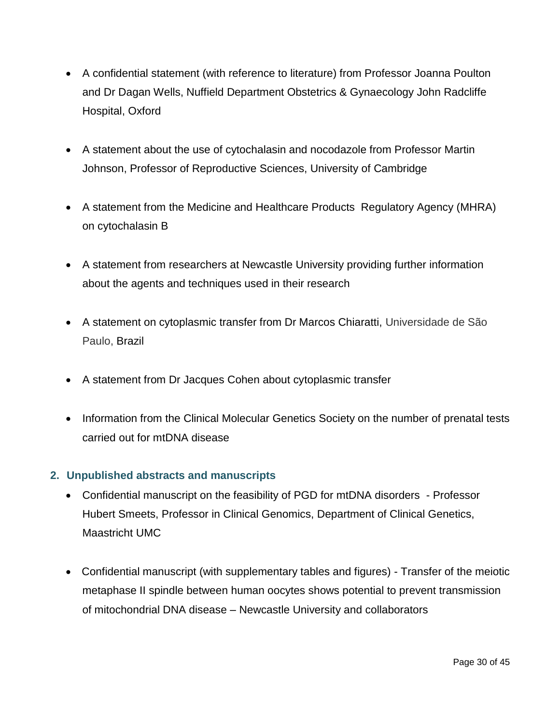- A confidential statement (with reference to literature) from Professor Joanna Poulton and Dr Dagan Wells, Nuffield Department Obstetrics & Gynaecology John Radcliffe Hospital, Oxford
- A statement about the use of cytochalasin and nocodazole from Professor Martin Johnson, Professor of Reproductive Sciences, University of Cambridge
- A statement from the Medicine and Healthcare Products Regulatory Agency (MHRA) on cytochalasin B
- A statement from researchers at Newcastle University providing further information about the agents and techniques used in their research
- A statement on cytoplasmic transfer from Dr Marcos Chiaratti, Universidade de São Paulo, Brazil
- A statement from Dr Jacques Cohen about cytoplasmic transfer
- Information from the Clinical Molecular Genetics Society on the number of prenatal tests carried out for mtDNA disease

## **2. Unpublished abstracts and manuscripts**

- Confidential manuscript on the feasibility of PGD for mtDNA disorders Professor Hubert Smeets, Professor in Clinical Genomics, Department of Clinical Genetics, Maastricht UMC
- Confidential manuscript (with supplementary tables and figures) Transfer of the meiotic metaphase II spindle between human oocytes shows potential to prevent transmission of mitochondrial DNA disease – Newcastle University and collaborators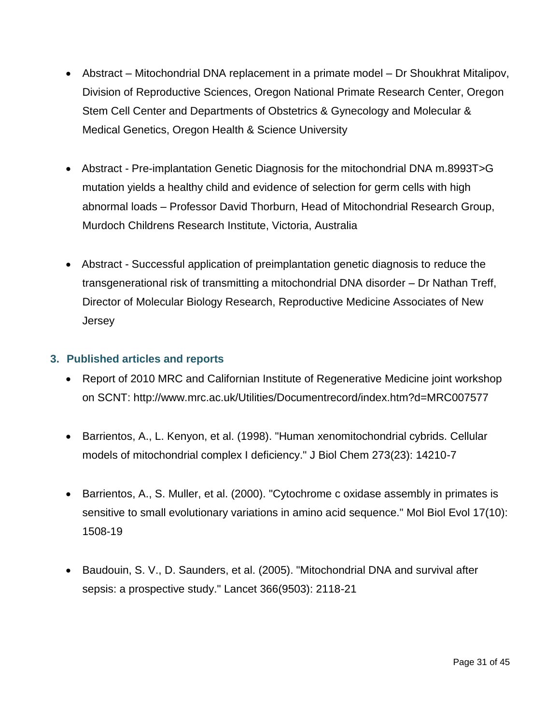- Abstract Mitochondrial DNA replacement in a primate model Dr Shoukhrat Mitalipov, Division of Reproductive Sciences, Oregon National Primate Research Center, Oregon Stem Cell Center and Departments of Obstetrics & Gynecology and Molecular & Medical Genetics, Oregon Health & Science University
- Abstract Pre-implantation Genetic Diagnosis for the mitochondrial DNA m.8993T>G mutation yields a healthy child and evidence of selection for germ cells with high abnormal loads – Professor David Thorburn, Head of Mitochondrial Research Group, Murdoch Childrens Research Institute, Victoria, Australia
- Abstract Successful application of preimplantation genetic diagnosis to reduce the transgenerational risk of transmitting a mitochondrial DNA disorder – Dr Nathan Treff, Director of Molecular Biology Research, Reproductive Medicine Associates of New Jersey

#### **3. Published articles and reports**

- Report of 2010 MRC and Californian Institute of Regenerative Medicine joint workshop on SCNT:<http://www.mrc.ac.uk/Utilities/Documentrecord/index.htm?d=MRC007577>
- Barrientos, A., L. Kenyon, et al. (1998). "Human xenomitochondrial cybrids. Cellular models of mitochondrial complex I deficiency." J Biol Chem 273(23): 14210-7
- Barrientos, A., S. Muller, et al. (2000). "Cytochrome c oxidase assembly in primates is sensitive to small evolutionary variations in amino acid sequence." Mol Biol Evol 17(10): 1508-19
- Baudouin, S. V., D. Saunders, et al. (2005). "Mitochondrial DNA and survival after sepsis: a prospective study." Lancet 366(9503): 2118-21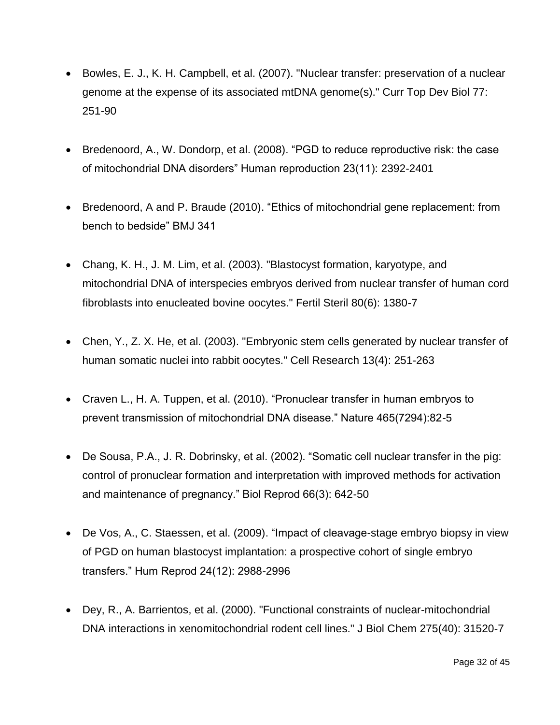- Bowles, E. J., K. H. Campbell, et al. (2007). "Nuclear transfer: preservation of a nuclear genome at the expense of its associated mtDNA genome(s)." Curr Top Dev Biol 77: 251-90
- Bredenoord, A., W. Dondorp, et al. (2008). "PGD to reduce reproductive risk: the case of mitochondrial DNA disorders" Human reproduction 23(11): 2392-2401
- Bredenoord, A and P. Braude (2010). "Ethics of mitochondrial gene replacement: from bench to bedside" BMJ 341
- Chang, K. H., J. M. Lim, et al. (2003). "Blastocyst formation, karyotype, and mitochondrial DNA of interspecies embryos derived from nuclear transfer of human cord fibroblasts into enucleated bovine oocytes." Fertil Steril 80(6): 1380-7
- Chen, Y., Z. X. He, et al. (2003). "Embryonic stem cells generated by nuclear transfer of human somatic nuclei into rabbit oocytes." Cell Research 13(4): 251-263
- Craven L., H. A. Tuppen, et al. (2010). "Pronuclear transfer in human embryos to prevent transmission of mitochondrial DNA disease." Nature 465(7294):82-5
- De Sousa, P.A., J. R. Dobrinsky, et al. (2002). "Somatic cell nuclear transfer in the pig: control of pronuclear formation and interpretation with improved methods for activation and maintenance of pregnancy." Biol Reprod 66(3): 642-50
- De Vos, A., C. Staessen, et al. (2009). "Impact of cleavage-stage embryo biopsy in view of PGD on human blastocyst implantation: a prospective cohort of single embryo transfers." Hum Reprod 24(12): 2988-2996
- Dey, R., A. Barrientos, et al. (2000). "Functional constraints of nuclear-mitochondrial DNA interactions in xenomitochondrial rodent cell lines." J Biol Chem 275(40): 31520-7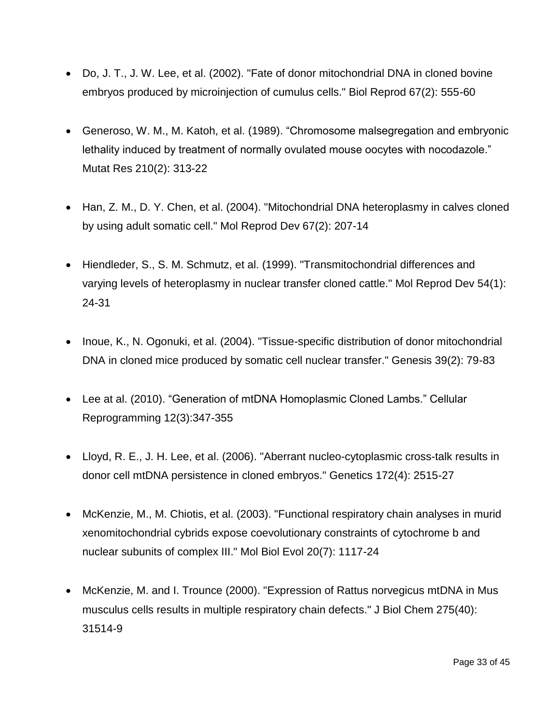- Do, J. T., J. W. Lee, et al. (2002). "Fate of donor mitochondrial DNA in cloned bovine embryos produced by microinjection of cumulus cells." Biol Reprod 67(2): 555-60
- Generoso, W. M., M. Katoh, et al. (1989). "Chromosome malsegregation and embryonic lethality induced by treatment of normally ovulated mouse oocytes with nocodazole." Mutat Res 210(2): 313-22
- Han, Z. M., D. Y. Chen, et al. (2004). "Mitochondrial DNA heteroplasmy in calves cloned by using adult somatic cell." Mol Reprod Dev 67(2): 207-14
- Hiendleder, S., S. M. Schmutz, et al. (1999). "Transmitochondrial differences and varying levels of heteroplasmy in nuclear transfer cloned cattle." Mol Reprod Dev 54(1): 24-31
- Inoue, K., N. Ogonuki, et al. (2004). "Tissue-specific distribution of donor mitochondrial DNA in cloned mice produced by somatic cell nuclear transfer." Genesis 39(2): 79-83
- Lee at al. (2010). "Generation of mtDNA Homoplasmic Cloned Lambs." Cellular Reprogramming 12(3):347-355
- Lloyd, R. E., J. H. Lee, et al. (2006). "Aberrant nucleo-cytoplasmic cross-talk results in donor cell mtDNA persistence in cloned embryos." Genetics 172(4): 2515-27
- McKenzie, M., M. Chiotis, et al. (2003). "Functional respiratory chain analyses in murid xenomitochondrial cybrids expose coevolutionary constraints of cytochrome b and nuclear subunits of complex III." Mol Biol Evol 20(7): 1117-24
- McKenzie, M. and I. Trounce (2000). "Expression of Rattus norvegicus mtDNA in Mus musculus cells results in multiple respiratory chain defects." J Biol Chem 275(40): 31514-9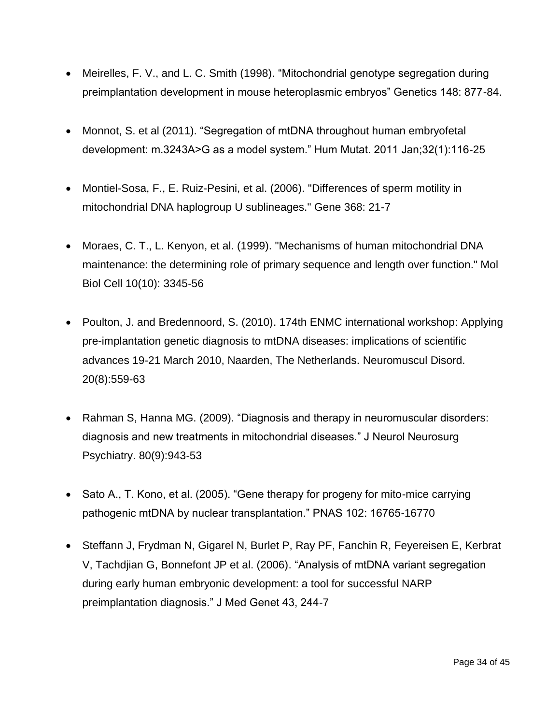- Meirelles, F. V., and L. C. Smith (1998). "Mitochondrial genotype segregation during preimplantation development in mouse heteroplasmic embryos" Genetics 148: 877-84.
- Monnot, S. et al (2011). "Segregation of mtDNA throughout human embryofetal development: m.3243A>G as a model system." Hum Mutat. 2011 Jan;32(1):116-25
- Montiel-Sosa, F., E. Ruiz-Pesini, et al. (2006). "Differences of sperm motility in mitochondrial DNA haplogroup U sublineages." Gene 368: 21-7
- Moraes, C. T., L. Kenyon, et al. (1999). "Mechanisms of human mitochondrial DNA maintenance: the determining role of primary sequence and length over function." Mol Biol Cell 10(10): 3345-56
- Poulton, J. and Bredennoord, S. (2010). 174th ENMC international workshop: Applying pre-implantation genetic diagnosis to mtDNA diseases: implications of scientific advances 19-21 March 2010, Naarden, The Netherlands. Neuromuscul Disord. 20(8):559-63
- Rahman S, Hanna MG. (2009). "Diagnosis and therapy in neuromuscular disorders: diagnosis and new treatments in mitochondrial diseases." J Neurol Neurosurg Psychiatry. 80(9):943-53
- Sato A., T. Kono, et al. (2005). "Gene therapy for progeny for mito-mice carrying pathogenic mtDNA by nuclear transplantation." PNAS 102: 16765-16770
- Steffann J, Frydman N, Gigarel N, Burlet P, Ray PF, Fanchin R, Feyereisen E, Kerbrat V, Tachdjian G, Bonnefont JP et al. (2006). "Analysis of mtDNA variant segregation during early human embryonic development: a tool for successful NARP preimplantation diagnosis." J Med Genet 43, 244-7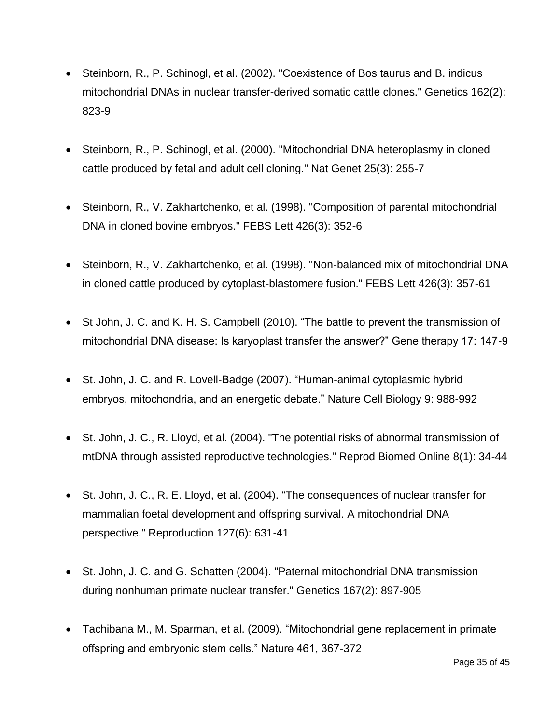- Steinborn, R., P. Schinogl, et al. (2002). "Coexistence of Bos taurus and B. indicus mitochondrial DNAs in nuclear transfer-derived somatic cattle clones." Genetics 162(2): 823-9
- Steinborn, R., P. Schinogl, et al. (2000). "Mitochondrial DNA heteroplasmy in cloned cattle produced by fetal and adult cell cloning." Nat Genet 25(3): 255-7
- Steinborn, R., V. Zakhartchenko, et al. (1998). "Composition of parental mitochondrial DNA in cloned bovine embryos." FEBS Lett 426(3): 352-6
- Steinborn, R., V. Zakhartchenko, et al. (1998). "Non-balanced mix of mitochondrial DNA in cloned cattle produced by cytoplast-blastomere fusion." FEBS Lett 426(3): 357-61
- St John, J. C. and K. H. S. Campbell (2010). "The battle to prevent the transmission of mitochondrial DNA disease: Is karyoplast transfer the answer?" Gene therapy 17: 147-9
- St. John, J. C. and R. Lovell-Badge (2007). "Human-animal cytoplasmic hybrid embryos, mitochondria, and an energetic debate." Nature Cell Biology 9: 988-992
- St. John, J. C., R. Lloyd, et al. (2004). "The potential risks of abnormal transmission of mtDNA through assisted reproductive technologies." Reprod Biomed Online 8(1): 34-44
- St. John, J. C., R. E. Lloyd, et al. (2004). "The consequences of nuclear transfer for mammalian foetal development and offspring survival. A mitochondrial DNA perspective." Reproduction 127(6): 631-41
- St. John, J. C. and G. Schatten (2004). "Paternal mitochondrial DNA transmission during nonhuman primate nuclear transfer." Genetics 167(2): 897-905
- Tachibana M., M. Sparman, et al. (2009). "Mitochondrial gene replacement in primate offspring and embryonic stem cells." Nature 461, 367-372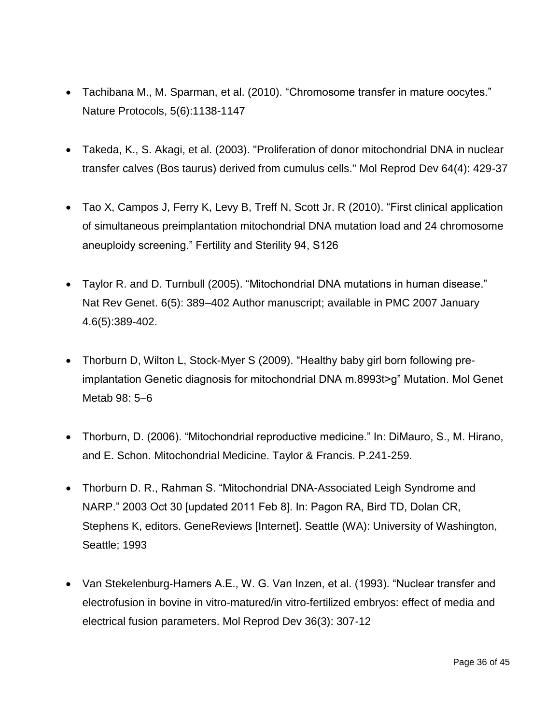- Tachibana M., M. Sparman, et al. (2010). "Chromosome transfer in mature oocytes." Nature Protocols, 5(6):1138-1147
- Takeda, K., S. Akagi, et al. (2003). "Proliferation of donor mitochondrial DNA in nuclear transfer calves (Bos taurus) derived from cumulus cells." Mol Reprod Dev 64(4): 429-37
- Tao X, Campos J, Ferry K, Levy B, Treff N, Scott Jr. R (2010). "First clinical application of simultaneous preimplantation mitochondrial DNA mutation load and 24 chromosome aneuploidy screening." Fertility and Sterility 94, S126
- Taylor R. and D. Turnbull (2005). "Mitochondrial DNA mutations in human disease." Nat Rev Genet. 6(5): 389–402 Author manuscript; available in PMC 2007 January 4.6(5):389-402.
- Thorburn D, Wilton L, Stock-Myer S (2009). "Healthy baby girl born following preimplantation Genetic diagnosis for mitochondrial DNA m.8993t>g" Mutation. Mol Genet Metab 98: 5–6
- Thorburn, D. (2006). "Mitochondrial reproductive medicine." In: DiMauro, S., M. Hirano, and E. Schon. Mitochondrial Medicine. Taylor & Francis. P.241-259.
- Thorburn D. R., Rahman S. "Mitochondrial DNA-Associated Leigh Syndrome and NARP." 2003 Oct 30 [updated 2011 Feb 8]. In: Pagon RA, Bird TD, Dolan CR, Stephens K, editors. GeneReviews [Internet]. Seattle (WA): University of Washington, Seattle; 1993
- Van Stekelenburg-Hamers A.E., W. G. Van Inzen, et al. (1993). "Nuclear transfer and electrofusion in bovine in vitro-matured/in vitro-fertilized embryos: effect of media and electrical fusion parameters. Mol Reprod Dev 36(3): 307-12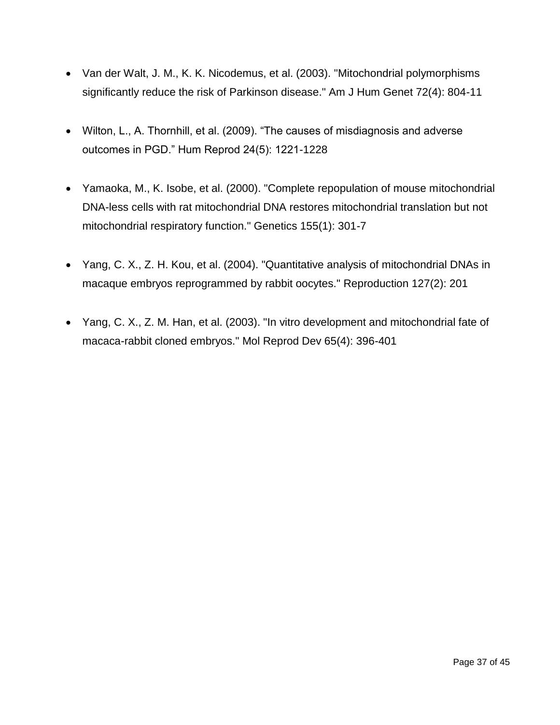- Van der Walt, J. M., K. K. Nicodemus, et al. (2003). "Mitochondrial polymorphisms significantly reduce the risk of Parkinson disease." Am J Hum Genet 72(4): 804-11
- Wilton, L., A. Thornhill, et al. (2009). "The causes of misdiagnosis and adverse outcomes in PGD." Hum Reprod 24(5): 1221-1228
- Yamaoka, M., K. Isobe, et al. (2000). "Complete repopulation of mouse mitochondrial DNA-less cells with rat mitochondrial DNA restores mitochondrial translation but not mitochondrial respiratory function." Genetics 155(1): 301-7
- Yang, C. X., Z. H. Kou, et al. (2004). "Quantitative analysis of mitochondrial DNAs in macaque embryos reprogrammed by rabbit oocytes." Reproduction 127(2): 201
- Yang, C. X., Z. M. Han, et al. (2003). "In vitro development and mitochondrial fate of macaca-rabbit cloned embryos." Mol Reprod Dev 65(4): 396-401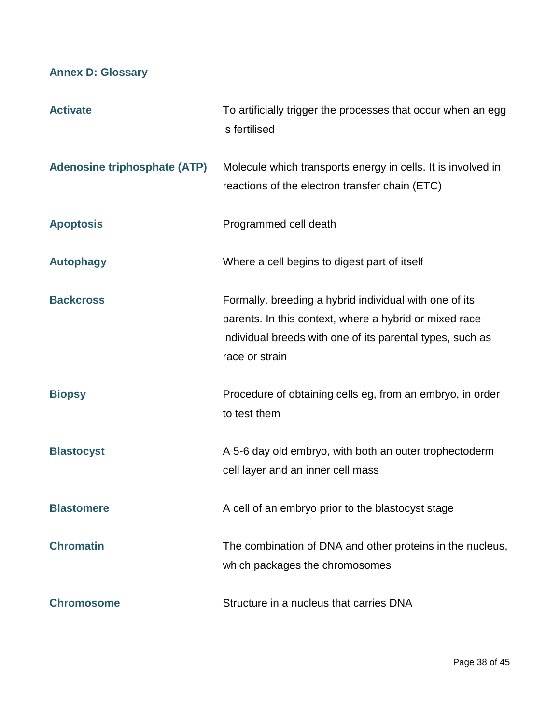# **Annex D: Glossary**

| <b>Activate</b>                     | To artificially trigger the processes that occur when an egg<br>is fertilised                                                                                                                   |
|-------------------------------------|-------------------------------------------------------------------------------------------------------------------------------------------------------------------------------------------------|
| <b>Adenosine triphosphate (ATP)</b> | Molecule which transports energy in cells. It is involved in<br>reactions of the electron transfer chain (ETC)                                                                                  |
| <b>Apoptosis</b>                    | Programmed cell death                                                                                                                                                                           |
| <b>Autophagy</b>                    | Where a cell begins to digest part of itself                                                                                                                                                    |
| <b>Backcross</b>                    | Formally, breeding a hybrid individual with one of its<br>parents. In this context, where a hybrid or mixed race<br>individual breeds with one of its parental types, such as<br>race or strain |
| <b>Biopsy</b>                       | Procedure of obtaining cells eg, from an embryo, in order<br>to test them                                                                                                                       |
| <b>Blastocyst</b>                   | A 5-6 day old embryo, with both an outer trophectoderm<br>cell layer and an inner cell mass                                                                                                     |
| <b>Blastomere</b>                   | A cell of an embryo prior to the blastocyst stage                                                                                                                                               |
| <b>Chromatin</b>                    | The combination of DNA and other proteins in the nucleus,<br>which packages the chromosomes                                                                                                     |
| <b>Chromosome</b>                   | Structure in a nucleus that carries DNA                                                                                                                                                         |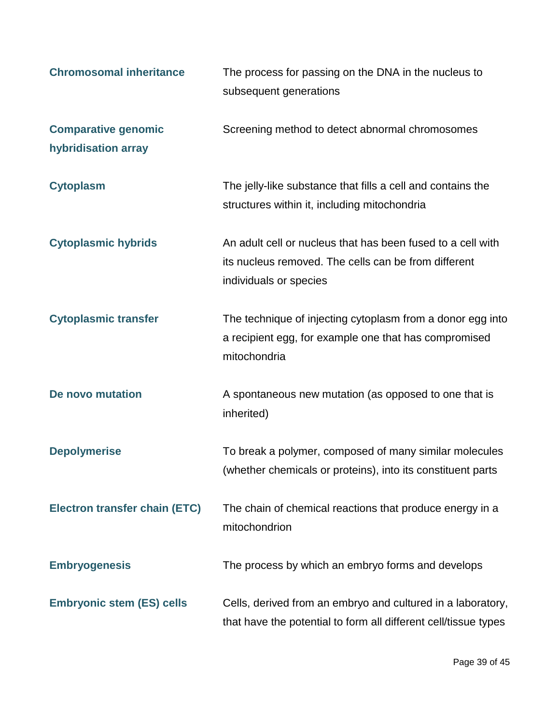| <b>Chromosomal inheritance</b>                    | The process for passing on the DNA in the nucleus to<br>subsequent generations                                                                |
|---------------------------------------------------|-----------------------------------------------------------------------------------------------------------------------------------------------|
| <b>Comparative genomic</b><br>hybridisation array | Screening method to detect abnormal chromosomes                                                                                               |
| <b>Cytoplasm</b>                                  | The jelly-like substance that fills a cell and contains the<br>structures within it, including mitochondria                                   |
| <b>Cytoplasmic hybrids</b>                        | An adult cell or nucleus that has been fused to a cell with<br>its nucleus removed. The cells can be from different<br>individuals or species |
| <b>Cytoplasmic transfer</b>                       | The technique of injecting cytoplasm from a donor egg into<br>a recipient egg, for example one that has compromised<br>mitochondria           |
| De novo mutation                                  | A spontaneous new mutation (as opposed to one that is<br>inherited)                                                                           |
| <b>Depolymerise</b>                               | To break a polymer, composed of many similar molecules<br>(whether chemicals or proteins), into its constituent parts                         |
| <b>Electron transfer chain (ETC)</b>              | The chain of chemical reactions that produce energy in a<br>mitochondrion                                                                     |
| <b>Embryogenesis</b>                              | The process by which an embryo forms and develops                                                                                             |
| <b>Embryonic stem (ES) cells</b>                  | Cells, derived from an embryo and cultured in a laboratory,<br>that have the potential to form all different cell/tissue types                |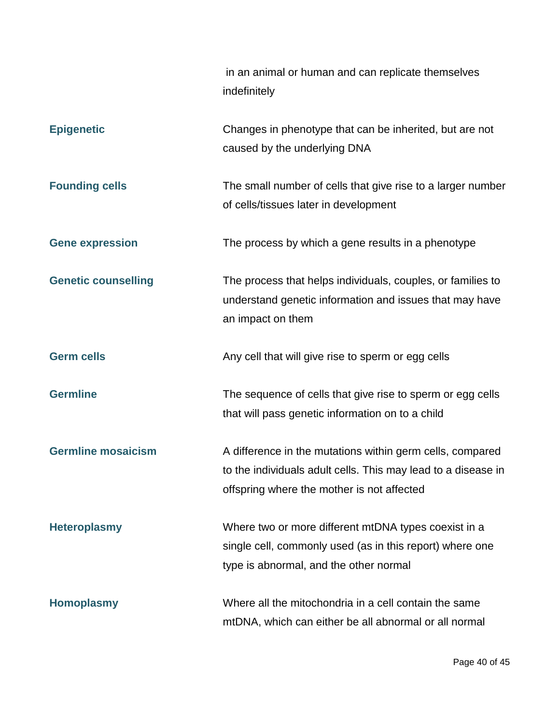|                            | in an animal or human and can replicate themselves<br>indefinitely                                                                                                       |
|----------------------------|--------------------------------------------------------------------------------------------------------------------------------------------------------------------------|
| <b>Epigenetic</b>          | Changes in phenotype that can be inherited, but are not<br>caused by the underlying DNA                                                                                  |
| <b>Founding cells</b>      | The small number of cells that give rise to a larger number<br>of cells/tissues later in development                                                                     |
| <b>Gene expression</b>     | The process by which a gene results in a phenotype                                                                                                                       |
| <b>Genetic counselling</b> | The process that helps individuals, couples, or families to<br>understand genetic information and issues that may have<br>an impact on them                              |
| <b>Germ cells</b>          | Any cell that will give rise to sperm or egg cells                                                                                                                       |
| <b>Germline</b>            | The sequence of cells that give rise to sperm or egg cells<br>that will pass genetic information on to a child                                                           |
| <b>Germline mosaicism</b>  | A difference in the mutations within germ cells, compared<br>to the individuals adult cells. This may lead to a disease in<br>offspring where the mother is not affected |
| <b>Heteroplasmy</b>        | Where two or more different mtDNA types coexist in a<br>single cell, commonly used (as in this report) where one<br>type is abnormal, and the other normal               |
| <b>Homoplasmy</b>          | Where all the mitochondria in a cell contain the same<br>mtDNA, which can either be all abnormal or all normal                                                           |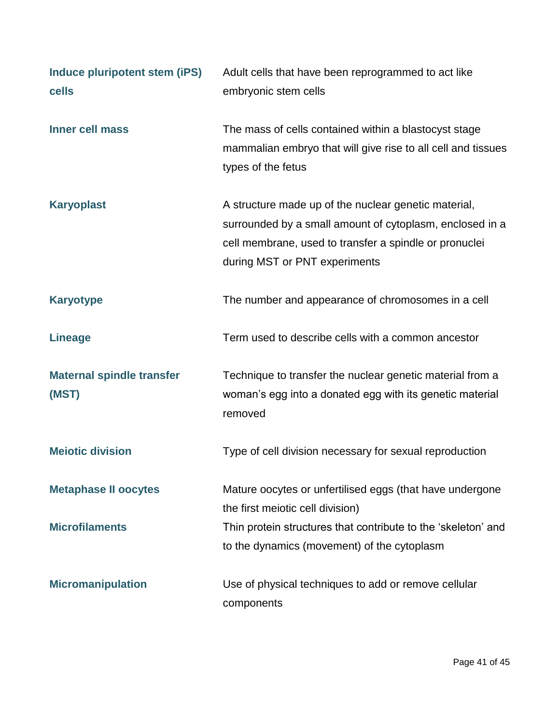| Induce pluripotent stem (iPS)<br>cells    | Adult cells that have been reprogrammed to act like<br>embryonic stem cells                                                                                                                                 |
|-------------------------------------------|-------------------------------------------------------------------------------------------------------------------------------------------------------------------------------------------------------------|
| <b>Inner cell mass</b>                    | The mass of cells contained within a blastocyst stage<br>mammalian embryo that will give rise to all cell and tissues<br>types of the fetus                                                                 |
| <b>Karyoplast</b>                         | A structure made up of the nuclear genetic material,<br>surrounded by a small amount of cytoplasm, enclosed in a<br>cell membrane, used to transfer a spindle or pronuclei<br>during MST or PNT experiments |
| <b>Karyotype</b>                          | The number and appearance of chromosomes in a cell                                                                                                                                                          |
| <b>Lineage</b>                            | Term used to describe cells with a common ancestor                                                                                                                                                          |
| <b>Maternal spindle transfer</b><br>(MST) | Technique to transfer the nuclear genetic material from a<br>woman's egg into a donated egg with its genetic material<br>removed                                                                            |
| <b>Meiotic division</b>                   | Type of cell division necessary for sexual reproduction                                                                                                                                                     |
| <b>Metaphase II oocytes</b>               | Mature oocytes or unfertilised eggs (that have undergone<br>the first meiotic cell division)                                                                                                                |
| <b>Microfilaments</b>                     | Thin protein structures that contribute to the 'skeleton' and<br>to the dynamics (movement) of the cytoplasm                                                                                                |
| <b>Micromanipulation</b>                  | Use of physical techniques to add or remove cellular<br>components                                                                                                                                          |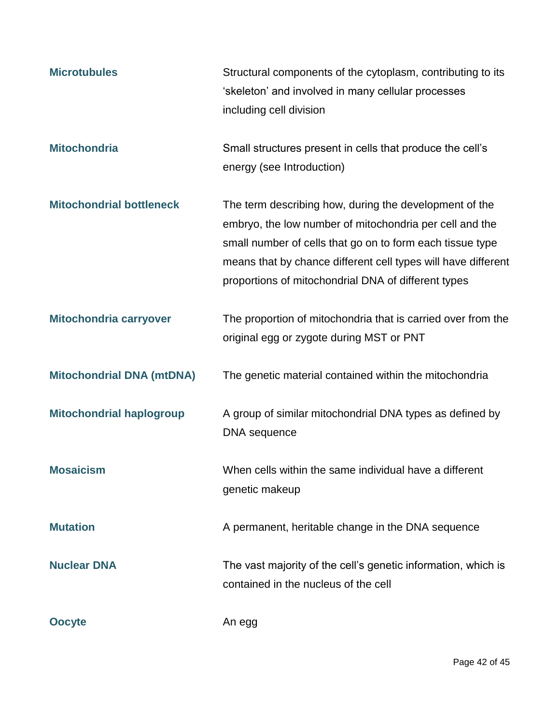| <b>Microtubules</b>              | Structural components of the cytoplasm, contributing to its<br>'skeleton' and involved in many cellular processes<br>including cell division                                                                                                                                                           |
|----------------------------------|--------------------------------------------------------------------------------------------------------------------------------------------------------------------------------------------------------------------------------------------------------------------------------------------------------|
| <b>Mitochondria</b>              | Small structures present in cells that produce the cell's<br>energy (see Introduction)                                                                                                                                                                                                                 |
| <b>Mitochondrial bottleneck</b>  | The term describing how, during the development of the<br>embryo, the low number of mitochondria per cell and the<br>small number of cells that go on to form each tissue type<br>means that by chance different cell types will have different<br>proportions of mitochondrial DNA of different types |
| Mitochondria carryover           | The proportion of mitochondria that is carried over from the<br>original egg or zygote during MST or PNT                                                                                                                                                                                               |
| <b>Mitochondrial DNA (mtDNA)</b> | The genetic material contained within the mitochondria                                                                                                                                                                                                                                                 |
| <b>Mitochondrial haplogroup</b>  | A group of similar mitochondrial DNA types as defined by<br>DNA sequence                                                                                                                                                                                                                               |
| <b>Mosaicism</b>                 | When cells within the same individual have a different<br>genetic makeup                                                                                                                                                                                                                               |
| <b>Mutation</b>                  | A permanent, heritable change in the DNA sequence                                                                                                                                                                                                                                                      |
| <b>Nuclear DNA</b>               | The vast majority of the cell's genetic information, which is<br>contained in the nucleus of the cell                                                                                                                                                                                                  |
| <b>Oocyte</b>                    | An egg                                                                                                                                                                                                                                                                                                 |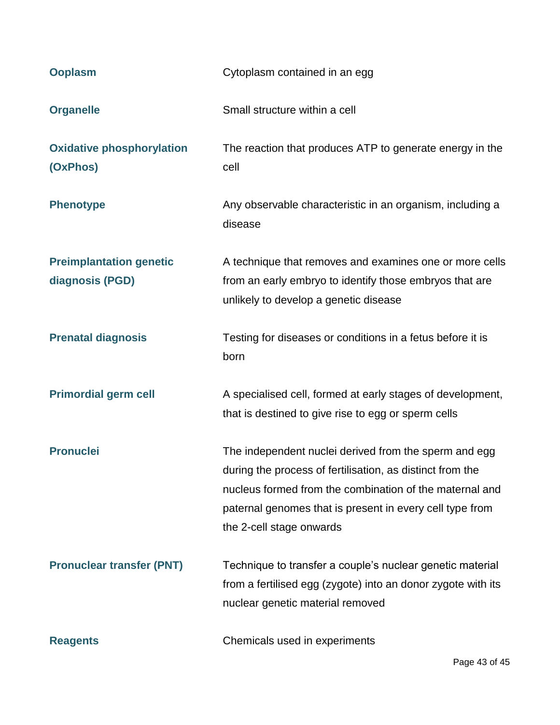| <b>Ooplasm</b>                                    | Cytoplasm contained in an egg                                                                                                                                                                                                                                         |
|---------------------------------------------------|-----------------------------------------------------------------------------------------------------------------------------------------------------------------------------------------------------------------------------------------------------------------------|
| <b>Organelle</b>                                  | Small structure within a cell                                                                                                                                                                                                                                         |
| <b>Oxidative phosphorylation</b><br>(OxPhos)      | The reaction that produces ATP to generate energy in the<br>cell                                                                                                                                                                                                      |
| <b>Phenotype</b>                                  | Any observable characteristic in an organism, including a<br>disease                                                                                                                                                                                                  |
| <b>Preimplantation genetic</b><br>diagnosis (PGD) | A technique that removes and examines one or more cells<br>from an early embryo to identify those embryos that are<br>unlikely to develop a genetic disease                                                                                                           |
| <b>Prenatal diagnosis</b>                         | Testing for diseases or conditions in a fetus before it is<br>born                                                                                                                                                                                                    |
| <b>Primordial germ cell</b>                       | A specialised cell, formed at early stages of development,<br>that is destined to give rise to egg or sperm cells                                                                                                                                                     |
| <b>Pronuclei</b>                                  | The independent nuclei derived from the sperm and egg<br>during the process of fertilisation, as distinct from the<br>nucleus formed from the combination of the maternal and<br>paternal genomes that is present in every cell type from<br>the 2-cell stage onwards |
| <b>Pronuclear transfer (PNT)</b>                  | Technique to transfer a couple's nuclear genetic material<br>from a fertilised egg (zygote) into an donor zygote with its<br>nuclear genetic material removed                                                                                                         |
| <b>Reagents</b>                                   | Chemicals used in experiments                                                                                                                                                                                                                                         |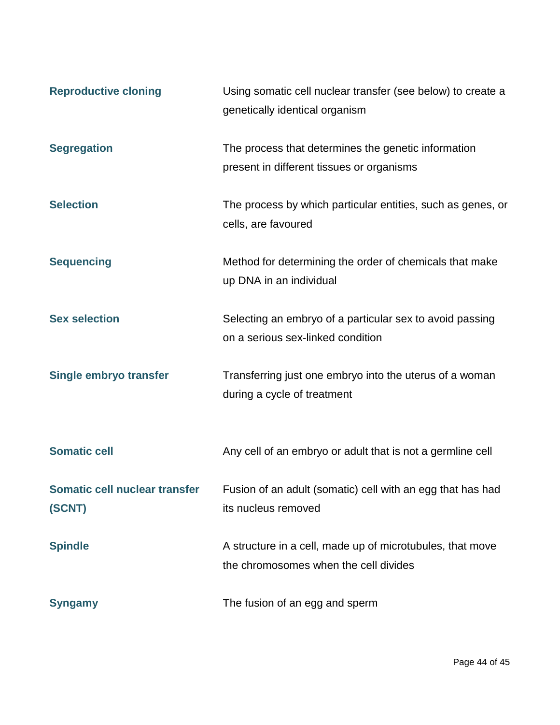| <b>Reproductive cloning</b>             | Using somatic cell nuclear transfer (see below) to create a<br>genetically identical organism      |
|-----------------------------------------|----------------------------------------------------------------------------------------------------|
| <b>Segregation</b>                      | The process that determines the genetic information<br>present in different tissues or organisms   |
| <b>Selection</b>                        | The process by which particular entities, such as genes, or<br>cells, are favoured                 |
| <b>Sequencing</b>                       | Method for determining the order of chemicals that make<br>up DNA in an individual                 |
| <b>Sex selection</b>                    | Selecting an embryo of a particular sex to avoid passing<br>on a serious sex-linked condition      |
| Single embryo transfer                  | Transferring just one embryo into the uterus of a woman<br>during a cycle of treatment             |
| <b>Somatic cell</b>                     | Any cell of an embryo or adult that is not a germline cell                                         |
| Somatic cell nuclear transfer<br>(SCNT) | Fusion of an adult (somatic) cell with an egg that has had<br>its nucleus removed                  |
| <b>Spindle</b>                          | A structure in a cell, made up of microtubules, that move<br>the chromosomes when the cell divides |
| <b>Syngamy</b>                          | The fusion of an egg and sperm                                                                     |